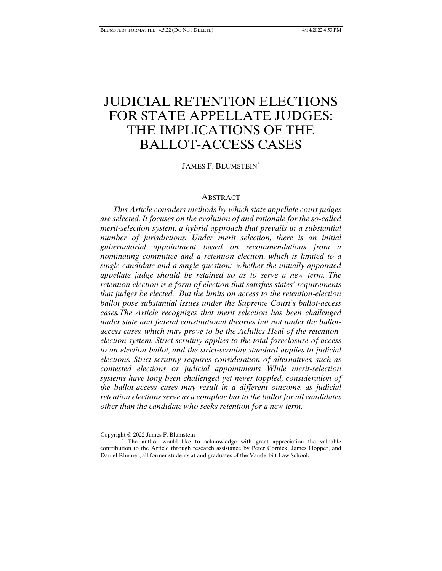# JUDICIAL RETENTION ELECTIONS FOR STATE APPELLATE JUDGES: THE IMPLICATIONS OF THE BALLOT-ACCESS CASES

JAMES F. BLUMSTEIN\*

#### ABSTRACT

*This Article considers methods by which state appellate court judges are selected. It focuses on the evolution of and rationale for the so-called merit-selection system, a hybrid approach that prevails in a substantial number of jurisdictions. Under merit selection, there is an initial gubernatorial appointment based on recommendations from a nominating committee and a retention election, which is limited to a single candidate and a single question: whether the initially appointed appellate judge should be retained so as to serve a new term. The retention election is a form of election that satisfies states' requirements that judges be elected. But the limits on access to the retention-election ballot pose substantial issues under the Supreme Court's ballot-access cases.The Article recognizes that merit selection has been challenged under state and federal constitutional theories but not under the ballotaccess cases, which may prove to be the Achilles Heal of the retentionelection system. Strict scrutiny applies to the total foreclosure of access to an election ballot, and the strict-scrutiny standard applies to judicial elections. Strict scrutiny requires consideration of alternatives, such as contested elections or judicial appointments. While merit-selection systems have long been challenged yet never toppled, consideration of the ballot-access cases may result in a different outcome, as judicial retention elections serve as a complete bar to the ballot for all candidates other than the candidate who seeks retention for a new term.* 

Copyright © 2022 James F. Blumstein

 <sup>\*</sup> The author would like to acknowledge with great appreciation the valuable contribution to the Article through research assistance by Peter Cornick, James Hopper, and Daniel Rheiner, all former students at and graduates of the Vanderbilt Law School.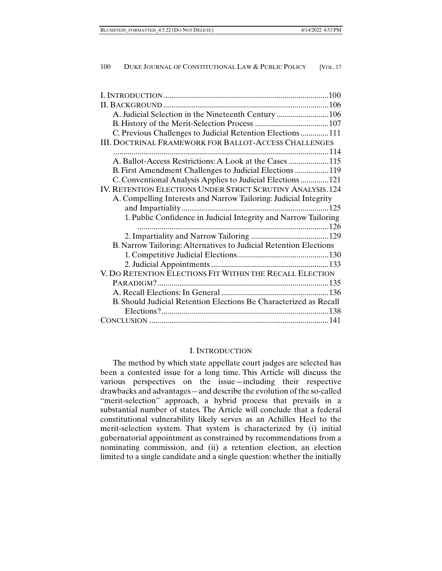| A. Judicial Selection in the Nineteenth Century 106<br>C. Previous Challenges to Judicial Retention Elections 111<br><b>III. DOCTRINAL FRAMEWORK FOR BALLOT-ACCESS CHALLENGES</b> |
|-----------------------------------------------------------------------------------------------------------------------------------------------------------------------------------|
|                                                                                                                                                                                   |
|                                                                                                                                                                                   |
|                                                                                                                                                                                   |
|                                                                                                                                                                                   |
|                                                                                                                                                                                   |
|                                                                                                                                                                                   |
| A. Ballot-Access Restrictions: A Look at the Cases  115                                                                                                                           |
| B. First Amendment Challenges to Judicial Elections 119                                                                                                                           |
| C. Conventional Analysis Applies to Judicial Elections 121                                                                                                                        |
| IV. RETENTION ELECTIONS UNDER STRICT SCRUTINY ANALYSIS.124                                                                                                                        |
| A. Compelling Interests and Narrow Tailoring: Judicial Integrity                                                                                                                  |
| $-125$                                                                                                                                                                            |
| 1. Public Confidence in Judicial Integrity and Narrow Tailoring                                                                                                                   |
|                                                                                                                                                                                   |
|                                                                                                                                                                                   |
| B. Narrow Tailoring: Alternatives to Judicial Retention Elections                                                                                                                 |
|                                                                                                                                                                                   |
|                                                                                                                                                                                   |
| V. DO RETENTION ELECTIONS FIT WITHIN THE RECALL ELECTION                                                                                                                          |
|                                                                                                                                                                                   |
|                                                                                                                                                                                   |
| B. Should Judicial Retention Elections Be Characterized as Recall                                                                                                                 |
|                                                                                                                                                                                   |
|                                                                                                                                                                                   |

# I. INTRODUCTION

The method by which state appellate court judges are selected has been a contested issue for a long time. This Article will discuss the various perspectives on the issue—including their respective drawbacks and advantages—and describe the evolution of the so-called "merit-selection" approach, a hybrid process that prevails in a substantial number of states. The Article will conclude that a federal constitutional vulnerability likely serves as an Achilles Heel to the merit-selection system. That system is characterized by (i) initial gubernatorial appointment as constrained by recommendations from a nominating commission, and (ii) a retention election, an election limited to a single candidate and a single question: whether the initially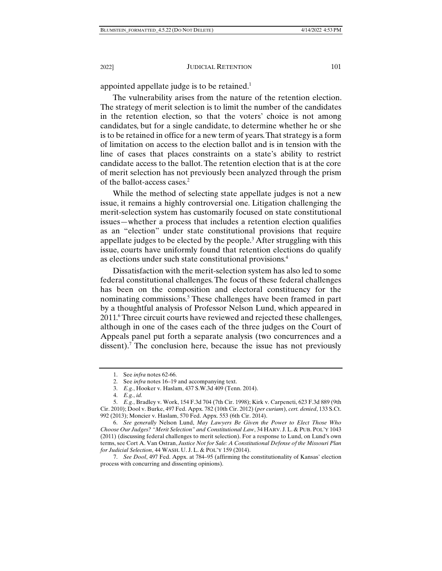appointed appellate judge is to be retained.<sup>1</sup>

The vulnerability arises from the nature of the retention election. The strategy of merit selection is to limit the number of the candidates in the retention election, so that the voters' choice is not among candidates, but for a single candidate, to determine whether he or she is to be retained in office for a new term of years. That strategy is a form of limitation on access to the election ballot and is in tension with the line of cases that places constraints on a state's ability to restrict candidate access to the ballot. The retention election that is at the core of merit selection has not previously been analyzed through the prism of the ballot-access cases.<sup>2</sup>

While the method of selecting state appellate judges is not a new issue, it remains a highly controversial one. Litigation challenging the merit-selection system has customarily focused on state constitutional issues—whether a process that includes a retention election qualifies as an "election" under state constitutional provisions that require appellate judges to be elected by the people.<sup>3</sup> After struggling with this issue, courts have uniformly found that retention elections do qualify as elections under such state constitutional provisions.4

Dissatisfaction with the merit-selection system has also led to some federal constitutional challenges. The focus of these federal challenges has been on the composition and electoral constituency for the nominating commissions.<sup>5</sup> These challenges have been framed in part by a thoughtful analysis of Professor Nelson Lund, which appeared in 2011.6 Three circuit courts have reviewed and rejected these challenges, although in one of the cases each of the three judges on the Court of Appeals panel put forth a separate analysis (two concurrences and a dissent).<sup>7</sup> The conclusion here, because the issue has not previously

 <sup>1.</sup> See *infra* notes 62-66.

 <sup>2.</sup> See *infra* notes 16–19 and accompanying text.

 <sup>3.</sup> *E.g.*, Hooker v. Haslam, 437 S.W.3d 409 (Tenn. 2014).

 <sup>4.</sup> *E.g.*, *id.*

 <sup>5.</sup> *E.g.*, Bradley v. Work, 154 F.3d 704 (7th Cir. 1998); Kirk v. Carpeneti, 623 F.3d 889 (9th Cir. 2010); Dool v. Burke, 497 Fed. Appx. 782 (10th Cir. 2012) (*per curiam*), *cert. denied*, 133 S.Ct. 992 (2013); Moncier v. Haslam, 570 Fed. Appx. 553 (6th Cir. 2014).

 <sup>6.</sup> *See generally* Nelson Lund, *May Lawyers Be Given the Power to Elect Those Who Choose Our Judges? "Merit Selection" and Constitutional Law*, 34 HARV. J. L. & PUB. POL'Y 1043 (2011) (discussing federal challenges to merit selection). For a response to Lund, on Lund's own terms, see Cort A. Van Ostran, *Justice Not for Sale: A Constitutional Defense of the Missouri Plan for Judicial Selection*, 44 WASH. U. J. L. & POL'Y 159 (2014).

 <sup>7.</sup> *See Dool*, 497 Fed. Appx. at 784–95 (affirming the constitutionality of Kansas' election process with concurring and dissenting opinions).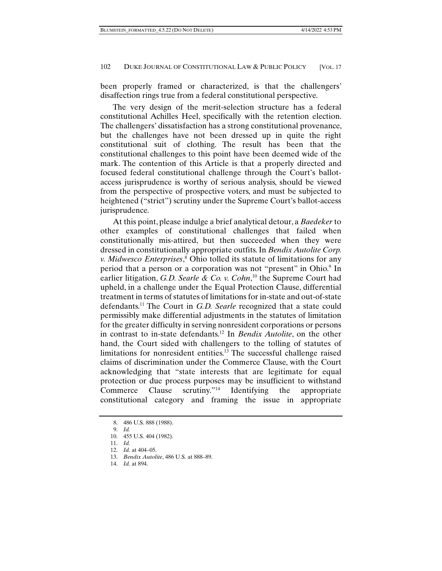been properly framed or characterized, is that the challengers' disaffection rings true from a federal constitutional perspective.

The very design of the merit-selection structure has a federal constitutional Achilles Heel, specifically with the retention election. The challengers' dissatisfaction has a strong constitutional provenance, but the challenges have not been dressed up in quite the right constitutional suit of clothing. The result has been that the constitutional challenges to this point have been deemed wide of the mark. The contention of this Article is that a properly directed and focused federal constitutional challenge through the Court's ballotaccess jurisprudence is worthy of serious analysis, should be viewed from the perspective of prospective voters, and must be subjected to heightened ("strict") scrutiny under the Supreme Court's ballot-access jurisprudence.

At this point, please indulge a brief analytical detour, a *Baedeker* to other examples of constitutional challenges that failed when constitutionally mis-attired, but then succeeded when they were dressed in constitutionally appropriate outfits. In *Bendix Autolite Corp. v. Midwesco Enterprises*, 8 Ohio tolled its statute of limitations for any period that a person or a corporation was not "present" in Ohio.<sup>9</sup> In earlier litigation, *G.D. Searle & Co. v. Cohn*,<sup>10</sup> the Supreme Court had upheld, in a challenge under the Equal Protection Clause, differential treatment in terms of statutes of limitations for in-state and out-of-state defendants.11 The Court in *G.D. Searle* recognized that a state could permissibly make differential adjustments in the statutes of limitation for the greater difficulty in serving nonresident corporations or persons in contrast to in-state defendants.12 In *Bendix Autolite*, on the other hand, the Court sided with challengers to the tolling of statutes of limitations for nonresident entities.13 The successful challenge raised claims of discrimination under the Commerce Clause, with the Court acknowledging that "state interests that are legitimate for equal protection or due process purposes may be insufficient to withstand Commerce Clause scrutiny."14 Identifying the appropriate constitutional category and framing the issue in appropriate

 <sup>8. 486</sup> U.S. 888 (1988).

 <sup>9.</sup> *Id.* 

 <sup>10. 455</sup> U.S. 404 (1982).

 <sup>11.</sup> *Id.* 

 <sup>12.</sup> *Id.* at 404–05.

 <sup>13.</sup> *Bendix Autolite*, 486 U.S. at 888–89.

 <sup>14.</sup> *Id.* at 894.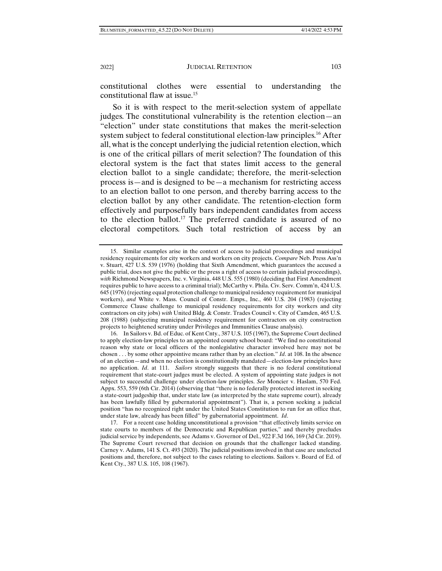constitutional clothes were essential to understanding the constitutional flaw at issue.15

So it is with respect to the merit-selection system of appellate judges. The constitutional vulnerability is the retention election—an "election" under state constitutions that makes the merit-selection system subject to federal constitutional election-law principles.<sup>16</sup> After all, what is the concept underlying the judicial retention election, which is one of the critical pillars of merit selection? The foundation of this electoral system is the fact that states limit access to the general election ballot to a single candidate; therefore, the merit-selection process is—and is designed to be—a mechanism for restricting access to an election ballot to one person, and thereby barring access to the election ballot by any other candidate. The retention-election form effectively and purposefully bars independent candidates from access to the election ballot.17 The preferred candidate is assured of no electoral competitors. Such total restriction of access by an

 <sup>15.</sup> Similar examples arise in the context of access to judicial proceedings and municipal residency requirements for city workers and workers on city projects. *Compare* Neb. Press Ass'n v. Stuart, 427 U.S. 539 (1976) (holding that Sixth Amendment, which guarantees the accused a public trial, does not give the public or the press a right of access to certain judicial proceedings), *with* Richmond Newspapers, Inc. v. Virginia, 448 U.S. 555 (1980) (deciding that First Amendment requires public to have access to a criminal trial); McCarthy v. Phila. Civ. Serv. Comm'n, 424 U.S. 645 (1976) (rejecting equal protection challenge to municipal residency requirement for municipal workers), *and* White v. Mass. Council of Constr. Emps., Inc., 460 U.S. 204 (1983) (rejecting Commerce Clause challenge to municipal residency requirements for city workers and city contractors on city jobs) *with* United Bldg. & Constr. Trades Council v. City of Camden, 465 U.S. 208 (1988) (subjecting municipal residency requirement for contractors on city construction projects to heightened scrutiny under Privileges and Immunities Clause analysis).

 <sup>16.</sup> In Sailors v. Bd. of Educ. of Kent Cnty., 387 U.S. 105 (1967), the Supreme Court declined to apply election-law principles to an appointed county school board: "We find no constitutional reason why state or local officers of the nonlegislative character involved here may not be chosen . . . by some other appointive means rather than by an election." *Id*. at 108. In the absence of an election—and when no election is constitutionally mandated—election-law principles have no application. *Id*. at 111. *Sailors* strongly suggests that there is no federal constitutional requirement that state-court judges must be elected. A system of appointing state judges is not subject to successful challenge under election-law principles. *See* Moncier v. Haslam, 570 Fed. Appx. 553, 559 (6th Cir. 2014) (observing that "there is no federally protected interest in seeking a state-court judgeship that, under state law (as interpreted by the state supreme court), already has been lawfully filled by gubernatorial appointment"). That is, a person seeking a judicial position "has no recognized right under the United States Constitution to run for an office that, under state law, already has been filled" by gubernatorial appointment. *Id*.

 <sup>17.</sup> For a recent case holding unconstitutional a provision "that effectively limits service on state courts to members of the Democratic and Republican parties," and thereby precludes judicial service by independents, see Adams v. Governor of Del., 922 F.3d 166, 169 (3d Cir. 2019). The Supreme Court reversed that decision on grounds that the challenger lacked standing. Carney v. Adams, 141 S. Ct. 493 (2020). The judicial positions involved in that case are unelected positions and, therefore, not subject to the cases relating to elections. Sailors v. Board of Ed. of Kent Cty., 387 U.S. 105, 108 (1967).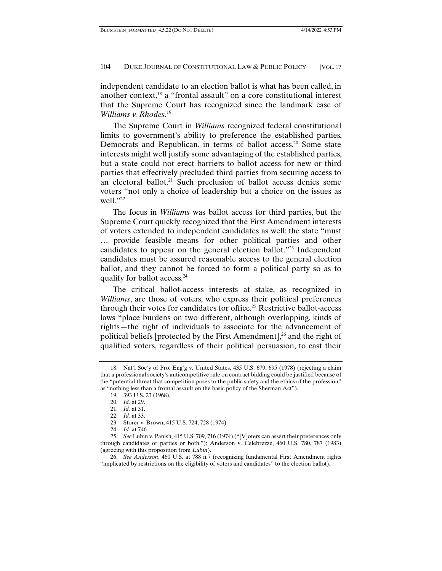independent candidate to an election ballot is what has been called, in another context, $18$  a "frontal assault" on a core constitutional interest that the Supreme Court has recognized since the landmark case of *Williams v. Rhodes*. 19

The Supreme Court in *Williams* recognized federal constitutional limits to government's ability to preference the established parties, Democrats and Republican, in terms of ballot access.<sup>20</sup> Some state interests might well justify some advantaging of the established parties, but a state could not erect barriers to ballot access for new or third parties that effectively precluded third parties from securing access to an electoral ballot.<sup>21</sup> Such preclusion of ballot access denies some voters "not only a choice of leadership but a choice on the issues as well."22

The focus in *Williams* was ballot access for third parties, but the Supreme Court quickly recognized that the First Amendment interests of voters extended to independent candidates as well: the state "must … provide feasible means for other political parties and other candidates to appear on the general election ballot."<sup>23</sup> Independent candidates must be assured reasonable access to the general election ballot, and they cannot be forced to form a political party so as to qualify for ballot access.24

The critical ballot-access interests at stake, as recognized in *Williams*, are those of voters, who express their political preferences through their votes for candidates for office.<sup>25</sup> Restrictive ballot-access laws "place burdens on two different, although overlapping, kinds of rights—the right of individuals to associate for the advancement of political beliefs [protected by the First Amendment], $^{26}$  and the right of qualified voters, regardless of their political persuasion, to cast their

 <sup>18.</sup> Nat'l Soc'y of Pro. Eng'g v. United States, 435 U.S. 679, 695 (1978) (rejecting a claim that a professional society's anticompetitive rule on contract bidding could be justified because of the "potential threat that competition poses to the public safety and the ethics of the profession" as "nothing less than a frontal assault on the basic policy of the Sherman Act").

 <sup>19. 393</sup> U.S. 23 (1968).

 <sup>20.</sup> *Id.* at 29.

 <sup>21.</sup> *Id.* at 31.

 <sup>22.</sup> *Id.* at 33.

 <sup>23.</sup> Storer v. Brown, 415 U.S. 724, 728 (1974).

 <sup>24.</sup> *Id.* at 746.

 <sup>25.</sup> *See* Lubin v. Panish, 415 U.S. 709, 716 (1974) ("[V]oters can assert their preferences only through candidates or parties or both."); Anderson v. Celebrezze, 460 U.S. 780, 787 (1983) (agreeing with this proposition from *Lubin*).

 <sup>26.</sup> *See Anderson*, 460 U.S. at 788 n.7 (recognizing fundamental First Amendment rights "implicated by restrictions on the eligibility of voters and candidates" to the election ballot).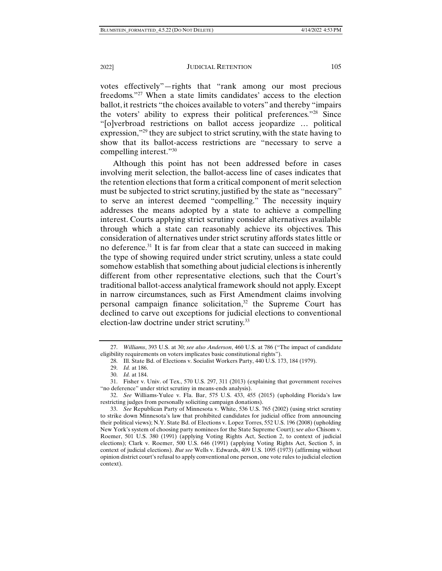votes effectively"—rights that "rank among our most precious freedoms."27 When a state limits candidates' access to the election ballot, it restricts "the choices available to voters" and thereby "impairs the voters' ability to express their political preferences."28 Since "[o]verbroad restrictions on ballot access jeopardize … political expression,"<sup>29</sup> they are subject to strict scrutiny, with the state having to show that its ballot-access restrictions are "necessary to serve a compelling interest."30

Although this point has not been addressed before in cases involving merit selection, the ballot-access line of cases indicates that the retention elections that form a critical component of merit selection must be subjected to strict scrutiny, justified by the state as "necessary" to serve an interest deemed "compelling." The necessity inquiry addresses the means adopted by a state to achieve a compelling interest. Courts applying strict scrutiny consider alternatives available through which a state can reasonably achieve its objectives. This consideration of alternatives under strict scrutiny affords states little or no deference.<sup>31</sup> It is far from clear that a state can succeed in making the type of showing required under strict scrutiny, unless a state could somehow establish that something about judicial elections is inherently different from other representative elections, such that the Court's traditional ballot-access analytical framework should not apply. Except in narrow circumstances, such as First Amendment claims involving personal campaign finance solicitation, $32$  the Supreme Court has declined to carve out exceptions for judicial elections to conventional election-law doctrine under strict scrutiny.33

 <sup>27.</sup> *Williams*, 393 U.S. at 30; *see also Anderson*, 460 U.S. at 786 ("The impact of candidate eligibility requirements on voters implicates basic constitutional rights").

 <sup>28.</sup> Ill. State Bd. of Elections v. Socialist Workers Party, 440 U.S. 173, 184 (1979).

 <sup>29.</sup> *Id.* at 186.

 <sup>30.</sup> *Id.* at 184.

 <sup>31.</sup> Fisher v. Univ. of Tex., 570 U.S. 297, 311 (2013) (explaining that government receives "no deference" under strict scrutiny in means-ends analysis).

 <sup>32.</sup> *See* Williams-Yulee v. Fla. Bar, 575 U.S. 433, 455 (2015) (upholding Florida's law restricting judges from personally soliciting campaign donations).

 <sup>33.</sup> *See* Republican Party of Minnesota v. White, 536 U.S. 765 (2002) (using strict scrutiny to strike down Minnesota's law that prohibited candidates for judicial office from announcing their political views); N.Y. State Bd. of Elections v. Lopez Torres, 552 U.S. 196 (2008) (upholding New York's system of choosing party nominees for the State Supreme Court); s*ee also* Chisom v. Roemer, 501 U.S. 380 (1991) (applying Voting Rights Act, Section 2, to context of judicial elections); Clark v. Roemer, 500 U.S. 646 (1991) (applying Voting Rights Act, Section 5, in context of judicial elections). *But see* Wells v. Edwards, 409 U.S. 1095 (1973) (affirming without opinion district court's refusal to apply conventional one person, one vote rules to judicial election context).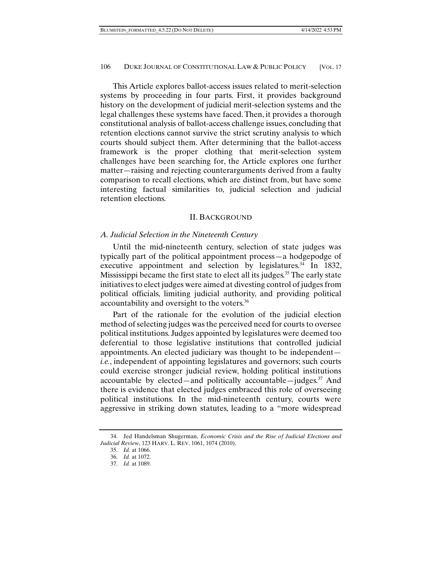This Article explores ballot-access issues related to merit-selection systems by proceeding in four parts. First, it provides background history on the development of judicial merit-selection systems and the legal challenges these systems have faced. Then, it provides a thorough constitutional analysis of ballot-access challenge issues, concluding that retention elections cannot survive the strict scrutiny analysis to which courts should subject them. After determining that the ballot-access framework is the proper clothing that merit-selection system challenges have been searching for, the Article explores one further matter—raising and rejecting counterarguments derived from a faulty comparison to recall elections, which are distinct from, but have some interesting factual similarities to, judicial selection and judicial retention elections.

### II. BACKGROUND

### *A. Judicial Selection in the Nineteenth Century*

Until the mid-nineteenth century, selection of state judges was typically part of the political appointment process—a hodgepodge of executive appointment and selection by legislatures. $34$  In 1832, Mississippi became the first state to elect all its judges.<sup>35</sup> The early state initiatives to elect judges were aimed at divesting control of judges from political officials, limiting judicial authority, and providing political accountability and oversight to the voters.36

Part of the rationale for the evolution of the judicial election method of selecting judges was the perceived need for courts to oversee political institutions. Judges appointed by legislatures were deemed too deferential to those legislative institutions that controlled judicial appointments. An elected judiciary was thought to be independent *i.e.*, independent of appointing legislatures and governors; such courts could exercise stronger judicial review, holding political institutions accountable by elected—and politically accountable—judges.37 And there is evidence that elected judges embraced this role of overseeing political institutions. In the mid-nineteenth century, courts were aggressive in striking down statutes, leading to a "more widespread

 <sup>34.</sup> Jed Handelsman Shugerman, *Economic Crisis and the Rise of Judicial Elections and Judicial Review*, 123 HARV. L. REV. 1061, 1074 (2010).

 <sup>35.</sup> *Id.* at 1066.

 <sup>36.</sup> *Id.* at 1072.

 <sup>37.</sup> *Id.* at 1089.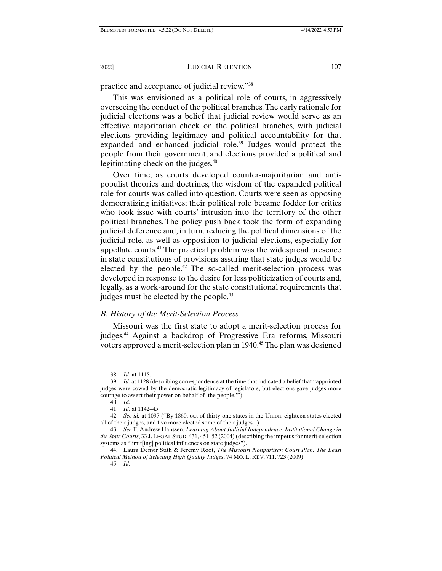practice and acceptance of judicial review."38

This was envisioned as a political role of courts, in aggressively overseeing the conduct of the political branches. The early rationale for judicial elections was a belief that judicial review would serve as an effective majoritarian check on the political branches, with judicial elections providing legitimacy and political accountability for that expanded and enhanced judicial role.<sup>39</sup> Judges would protect the people from their government, and elections provided a political and legitimating check on the judges.<sup>40</sup>

Over time, as courts developed counter-majoritarian and antipopulist theories and doctrines, the wisdom of the expanded political role for courts was called into question. Courts were seen as opposing democratizing initiatives; their political role became fodder for critics who took issue with courts' intrusion into the territory of the other political branches. The policy push back took the form of expanding judicial deference and, in turn, reducing the political dimensions of the judicial role, as well as opposition to judicial elections, especially for appellate courts.41 The practical problem was the widespread presence in state constitutions of provisions assuring that state judges would be elected by the people.<sup>42</sup> The so-called merit-selection process was developed in response to the desire for less politicization of courts and, legally, as a work-around for the state constitutional requirements that judges must be elected by the people.<sup>43</sup>

# *B. History of the Merit-Selection Process*

Missouri was the first state to adopt a merit-selection process for judges.44 Against a backdrop of Progressive Era reforms, Missouri voters approved a merit-selection plan in 1940.<sup>45</sup> The plan was designed

 <sup>38.</sup> *Id.* at 1115.

 <sup>39.</sup> *Id.* at 1128 (describing correspondence at the time that indicated a belief that "appointed judges were cowed by the democratic legitimacy of legislators, but elections gave judges more courage to assert their power on behalf of 'the people.'").

 <sup>40.</sup> *Id.*

 <sup>41.</sup> *Id.* at 1142–45.

 <sup>42.</sup> *See id.* at 1097 ("By 1860, out of thirty-one states in the Union, eighteen states elected all of their judges, and five more elected some of their judges.").

 <sup>43.</sup> *See* F. Andrew Hanssen, *Learning About Judicial Independence: Institutional Change in the State Courts*, 33 J.LEGAL STUD. 431, 451–52 (2004) (describing the impetus for merit-selection systems as "limit[ing] political influences on state judges").

 <sup>44.</sup> Laura Denvir Stith & Jeremy Root, *The Missouri Nonpartisan Court Plan: The Least Political Method of Selecting High Quality Judges*, 74 MO. L. REV. 711, 723 (2009).

 <sup>45.</sup> *Id.*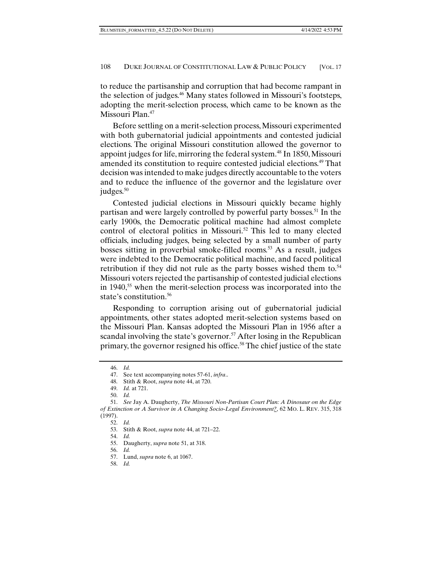to reduce the partisanship and corruption that had become rampant in the selection of judges.46 Many states followed in Missouri's footsteps, adopting the merit-selection process, which came to be known as the Missouri Plan.<sup>47</sup>

Before settling on a merit-selection process, Missouri experimented with both gubernatorial judicial appointments and contested judicial elections. The original Missouri constitution allowed the governor to appoint judges for life, mirroring the federal system.<sup>48</sup> In 1850, Missouri amended its constitution to require contested judicial elections.<sup>49</sup> That decision was intended to make judges directly accountable to the voters and to reduce the influence of the governor and the legislature over judges. $50$ 

Contested judicial elections in Missouri quickly became highly partisan and were largely controlled by powerful party bosses.<sup>51</sup> In the early 1900s, the Democratic political machine had almost complete control of electoral politics in Missouri.<sup>52</sup> This led to many elected officials, including judges, being selected by a small number of party bosses sitting in proverbial smoke-filled rooms.<sup>53</sup> As a result, judges were indebted to the Democratic political machine, and faced political retribution if they did not rule as the party bosses wished them to. $54$ Missouri voters rejected the partisanship of contested judicial elections in 1940,<sup>55</sup> when the merit-selection process was incorporated into the state's constitution.<sup>56</sup>

Responding to corruption arising out of gubernatorial judicial appointments, other states adopted merit-selection systems based on the Missouri Plan. Kansas adopted the Missouri Plan in 1956 after a scandal involving the state's governor.<sup>57</sup> After losing in the Republican primary, the governor resigned his office.58 The chief justice of the state

50. *Id.* 

 <sup>46.</sup> *Id.* 

 <sup>47.</sup> See text accompanying notes 57-61, *infra*..

 <sup>48.</sup> Stith & Root, *supra* note 44, at 720.

 <sup>49.</sup> *Id.* at 721.

 <sup>51.</sup> *See* Jay A. Daugherty, *The Missouri Non-Partisan Court Plan: A Dinosaur on the Edge of Extinction or A Survivor in A Changing Socio-Legal Environment?*, 62 MO. L. REV. 315, 318 (1997).

 <sup>52.</sup> *Id.* 

 <sup>53.</sup> Stith & Root, *supra* note 44, at 721–22.

 <sup>54.</sup> *Id.* 

 <sup>55.</sup> Daugherty, *supra* note 51, at 318.

 <sup>56.</sup> *Id.* 

 <sup>57.</sup> Lund, *supra* note 6, at 1067.

 <sup>58.</sup> *Id.*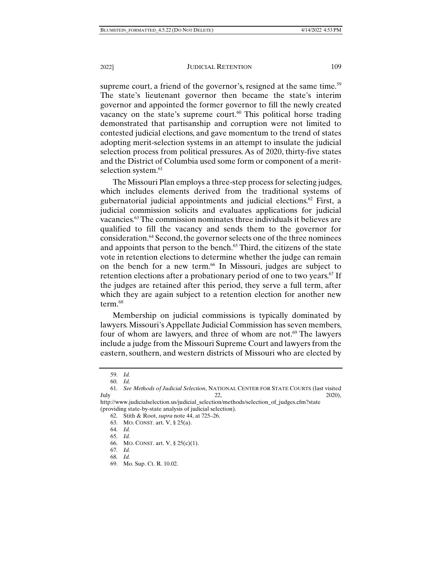supreme court, a friend of the governor's, resigned at the same time.<sup>59</sup> The state's lieutenant governor then became the state's interim governor and appointed the former governor to fill the newly created vacancy on the state's supreme court. $60$  This political horse trading demonstrated that partisanship and corruption were not limited to contested judicial elections, and gave momentum to the trend of states adopting merit-selection systems in an attempt to insulate the judicial selection process from political pressures. As of 2020, thirty-five states and the District of Columbia used some form or component of a meritselection system.<sup>61</sup>

The Missouri Plan employs a three-step process for selecting judges, which includes elements derived from the traditional systems of gubernatorial judicial appointments and judicial elections.<sup>62</sup> First, a judicial commission solicits and evaluates applications for judicial vacancies.63 The commission nominates three individuals it believes are qualified to fill the vacancy and sends them to the governor for consideration.64 Second, the governor selects one of the three nominees and appoints that person to the bench.<sup>65</sup> Third, the citizens of the state vote in retention elections to determine whether the judge can remain on the bench for a new term.<sup>66</sup> In Missouri, judges are subject to retention elections after a probationary period of one to two years.<sup>67</sup> If the judges are retained after this period, they serve a full term, after which they are again subject to a retention election for another new term.<sup>68</sup>

Membership on judicial commissions is typically dominated by lawyers. Missouri's Appellate Judicial Commission has seven members, four of whom are lawyers, and three of whom are not.<sup>69</sup> The lawyers include a judge from the Missouri Supreme Court and lawyers from the eastern, southern, and western districts of Missouri who are elected by

 <sup>59.</sup> *Id.* 

 <sup>60.</sup> *Id.* 

 <sup>61.</sup> *See Methods of Judicial Selection*, NATIONAL CENTER FOR STATE COURTS (last visited July 22,  $2020$ ,

http://www.judicialselection.us/judicial\_selection/methods/selection\_of\_judges.cfm?state (providing state-by-state analysis of judicial selection).

 <sup>62.</sup> Stith & Root, *supra* note 44, at 725–26.

 <sup>63.</sup> MO. CONST. art. V, § 25(a).

 <sup>64.</sup> *Id.* 

 <sup>65.</sup> *Id.* 

 <sup>66.</sup> MO. CONST. art. V, § 25(c)(1).

 <sup>67.</sup> *Id.*  68. *Id.* 

 <sup>69.</sup> Mo. Sup. Ct. R. 10.02.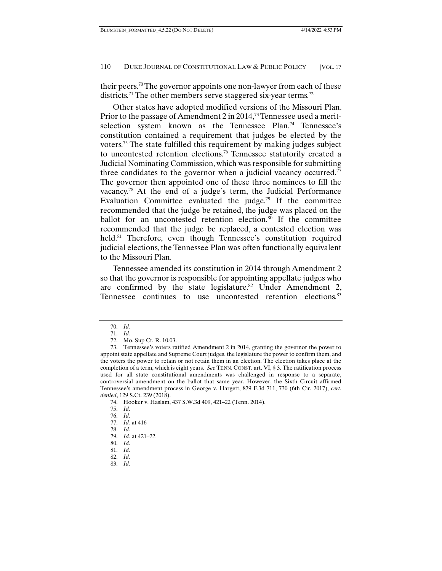their peers.70 The governor appoints one non-lawyer from each of these districts.<sup>71</sup> The other members serve staggered six-year terms.<sup>72</sup>

Other states have adopted modified versions of the Missouri Plan. Prior to the passage of Amendment 2 in 2014,<sup>73</sup> Tennessee used a meritselection system known as the Tennessee Plan.<sup>74</sup> Tennessee's constitution contained a requirement that judges be elected by the voters.75 The state fulfilled this requirement by making judges subject to uncontested retention elections.76 Tennessee statutorily created a Judicial Nominating Commission, which was responsible for submitting three candidates to the governor when a judicial vacancy occurred.<sup>77</sup> The governor then appointed one of these three nominees to fill the vacancy.78 At the end of a judge's term, the Judicial Performance Evaluation Committee evaluated the judge.<sup>79</sup> If the committee recommended that the judge be retained, the judge was placed on the ballot for an uncontested retention election.<sup>80</sup> If the committee recommended that the judge be replaced, a contested election was held.<sup>81</sup> Therefore, even though Tennessee's constitution required judicial elections, the Tennessee Plan was often functionally equivalent to the Missouri Plan.

Tennessee amended its constitution in 2014 through Amendment 2 so that the governor is responsible for appointing appellate judges who are confirmed by the state legislature.<sup>82</sup> Under Amendment 2, Tennessee continues to use uncontested retention elections.<sup>83</sup>

- 82. *Id.*
- 83. *Id.*

 <sup>70.</sup> *Id.* 

 <sup>71.</sup> *Id.* 

 <sup>72.</sup> Mo. Sup Ct. R. 10.03.

 <sup>73.</sup> Tennessee's voters ratified Amendment 2 in 2014, granting the governor the power to appoint state appellate and Supreme Court judges, the legislature the power to confirm them, and the voters the power to retain or not retain them in an election. The election takes place at the completion of a term, which is eight years. *See* TENN. CONST. art. VI, § 3. The ratification process used for all state constitutional amendments was challenged in response to a separate, controversial amendment on the ballot that same year. However, the Sixth Circuit affirmed Tennessee's amendment process in George v. Hargett, 879 F.3d 711, 730 (6th Cir. 2017), *cert. denied*, 129 S.Ct. 239 (2018).

 <sup>74.</sup> Hooker v. Haslam, 437 S.W.3d 409, 421–22 (Tenn. 2014).

 <sup>75.</sup> *Id.* 

 <sup>76.</sup> *Id.* 

 <sup>77.</sup> *Id.* at 416

 <sup>78.</sup> *Id.* 

 <sup>79.</sup> *Id.* at 421–22.

 <sup>80.</sup> *Id.* 

 <sup>81.</sup> *Id.*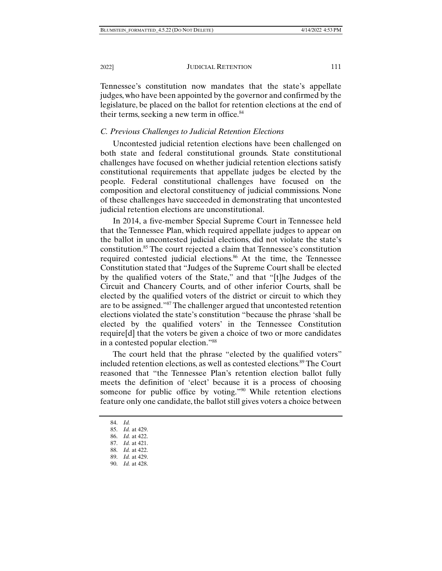Tennessee's constitution now mandates that the state's appellate judges, who have been appointed by the governor and confirmed by the legislature, be placed on the ballot for retention elections at the end of their terms, seeking a new term in office.<sup>84</sup>

#### *C. Previous Challenges to Judicial Retention Elections*

Uncontested judicial retention elections have been challenged on both state and federal constitutional grounds. State constitutional challenges have focused on whether judicial retention elections satisfy constitutional requirements that appellate judges be elected by the people. Federal constitutional challenges have focused on the composition and electoral constituency of judicial commissions. None of these challenges have succeeded in demonstrating that uncontested judicial retention elections are unconstitutional.

In 2014, a five-member Special Supreme Court in Tennessee held that the Tennessee Plan, which required appellate judges to appear on the ballot in uncontested judicial elections, did not violate the state's constitution.85 The court rejected a claim that Tennessee's constitution required contested judicial elections.<sup>86</sup> At the time, the Tennessee Constitution stated that "Judges of the Supreme Court shall be elected by the qualified voters of the State," and that "[t]he Judges of the Circuit and Chancery Courts, and of other inferior Courts, shall be elected by the qualified voters of the district or circuit to which they are to be assigned."87 The challenger argued that uncontested retention elections violated the state's constitution "because the phrase 'shall be elected by the qualified voters' in the Tennessee Constitution require[d] that the voters be given a choice of two or more candidates in a contested popular election."88

The court held that the phrase "elected by the qualified voters" included retention elections, as well as contested elections.89 The Court reasoned that "the Tennessee Plan's retention election ballot fully meets the definition of 'elect' because it is a process of choosing someone for public office by voting."90 While retention elections feature only one candidate, the ballot still gives voters a choice between

 <sup>84.</sup> *Id.* 

 <sup>85.</sup> *Id.* at 429.

 <sup>86.</sup> *Id.* at 422.

 <sup>87.</sup> *Id.* at 421.

 <sup>88.</sup> *Id.* at 422.

 <sup>89.</sup> *Id.* at 429.

 <sup>90.</sup> *Id.* at 428.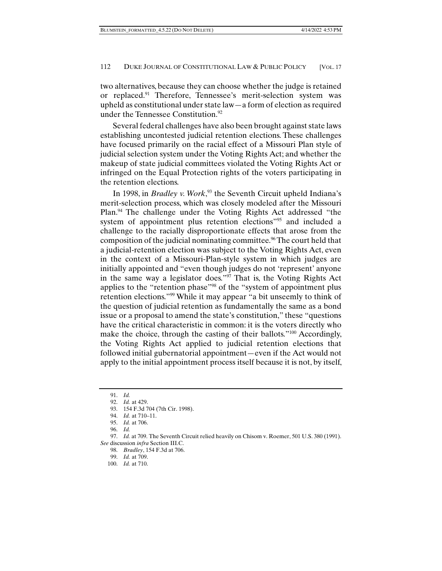two alternatives, because they can choose whether the judge is retained or replaced.91 Therefore, Tennessee's merit-selection system was upheld as constitutional under state law—a form of election as required under the Tennessee Constitution.<sup>92</sup>

Several federal challenges have also been brought against state laws establishing uncontested judicial retention elections. These challenges have focused primarily on the racial effect of a Missouri Plan style of judicial selection system under the Voting Rights Act; and whether the makeup of state judicial committees violated the Voting Rights Act or infringed on the Equal Protection rights of the voters participating in the retention elections.

In 1998, in *Bradley v. Work*, 93 the Seventh Circuit upheld Indiana's merit-selection process, which was closely modeled after the Missouri Plan.94 The challenge under the Voting Rights Act addressed "the system of appointment plus retention elections"95 and included a challenge to the racially disproportionate effects that arose from the composition of the judicial nominating committee.<sup>96</sup> The court held that a judicial-retention election was subject to the Voting Rights Act, even in the context of a Missouri-Plan-style system in which judges are initially appointed and "even though judges do not 'represent' anyone in the same way a legislator does."97 That is, the Voting Rights Act applies to the "retention phase"98 of the "system of appointment plus retention elections."99 While it may appear "a bit unseemly to think of the question of judicial retention as fundamentally the same as a bond issue or a proposal to amend the state's constitution," these "questions have the critical characteristic in common: it is the voters directly who make the choice, through the casting of their ballots."<sup>100</sup> Accordingly, the Voting Rights Act applied to judicial retention elections that followed initial gubernatorial appointment—even if the Act would not apply to the initial appointment process itself because it is not, by itself,

98. *Bradley*, 154 F.3d at 706.

 <sup>91.</sup> *Id.* 

 <sup>92.</sup> *Id.* at 429.

 <sup>93. 154</sup> F.3d 704 (7th Cir. 1998).

 <sup>94.</sup> *Id.* at 710–11.

 <sup>95.</sup> *Id.* at 706.

 <sup>96.</sup> *Id.*

 <sup>97.</sup> *Id.* at 709. The Seventh Circuit relied heavily on Chisom v. Roemer, 501 U.S. 380 (1991). *See* discussion *infra* Section III.C.

 <sup>99.</sup> *Id.* at 709.

 <sup>100.</sup> *Id.* at 710.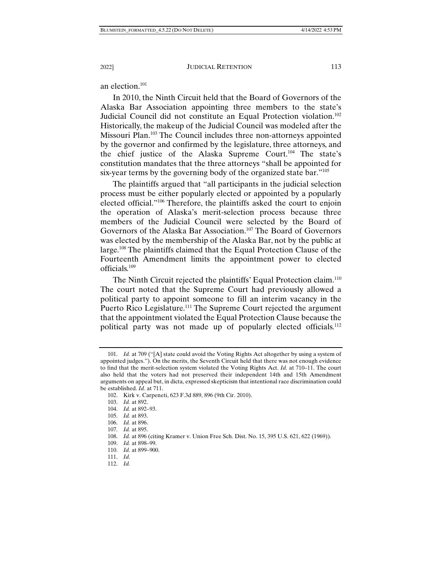an election.101

In 2010, the Ninth Circuit held that the Board of Governors of the Alaska Bar Association appointing three members to the state's Judicial Council did not constitute an Equal Protection violation.102 Historically, the makeup of the Judicial Council was modeled after the Missouri Plan.103 The Council includes three non-attorneys appointed by the governor and confirmed by the legislature, three attorneys, and the chief justice of the Alaska Supreme Court.104 The state's constitution mandates that the three attorneys "shall be appointed for six-year terms by the governing body of the organized state bar."<sup>105</sup>

The plaintiffs argued that "all participants in the judicial selection process must be either popularly elected or appointed by a popularly elected official."106 Therefore, the plaintiffs asked the court to enjoin the operation of Alaska's merit-selection process because three members of the Judicial Council were selected by the Board of Governors of the Alaska Bar Association.107 The Board of Governors was elected by the membership of the Alaska Bar, not by the public at large.108 The plaintiffs claimed that the Equal Protection Clause of the Fourteenth Amendment limits the appointment power to elected officials.109

The Ninth Circuit rejected the plaintiffs' Equal Protection claim.<sup>110</sup> The court noted that the Supreme Court had previously allowed a political party to appoint someone to fill an interim vacancy in the Puerto Rico Legislature.<sup>111</sup> The Supreme Court rejected the argument that the appointment violated the Equal Protection Clause because the political party was not made up of popularly elected officials.<sup>112</sup>

 <sup>101.</sup> *Id.* at 709 ("[A] state could avoid the Voting Rights Act altogether by using a system of appointed judges."). On the merits, the Seventh Circuit held that there was not enough evidence to find that the merit-selection system violated the Voting Rights Act. *Id.* at 710–11. The court also held that the voters had not preserved their independent 14th and 15th Amendment arguments on appeal but, in dicta, expressed skepticism that intentional race discrimination could be established. *Id.* at 711.

 <sup>102.</sup> Kirk v. Carpeneti, 623 F.3d 889, 896 (9th Cir. 2010).

 <sup>103.</sup> *Id.* at 892.

 <sup>104.</sup> *Id.* at 892–93.

 <sup>105.</sup> *Id.* at 893.

 <sup>106.</sup> *Id.* at 896.

 <sup>107.</sup> *Id.* at 895.

 <sup>108.</sup> *Id.* at 896 (citing Kramer v. Union Free Sch. Dist. No. 15, 395 U.S. 621, 622 (1969)).

 <sup>109.</sup> *Id.* at 898–99.

 <sup>110.</sup> *Id.* at 899–900.

 <sup>111.</sup> *Id.* 

 <sup>112.</sup> *Id.*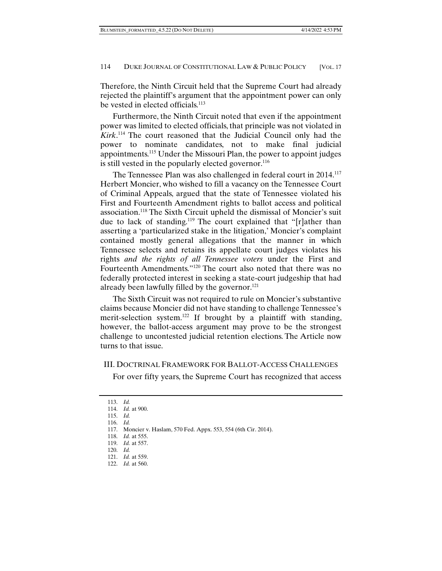Therefore, the Ninth Circuit held that the Supreme Court had already rejected the plaintiff's argument that the appointment power can only be vested in elected officials.<sup>113</sup>

Furthermore, the Ninth Circuit noted that even if the appointment power was limited to elected officials, that principle was not violated in *Kirk*. 114 The court reasoned that the Judicial Council only had the power to nominate candidates, not to make final judicial appointments.115 Under the Missouri Plan, the power to appoint judges is still vested in the popularly elected governor.<sup>116</sup>

The Tennessee Plan was also challenged in federal court in 2014.<sup>117</sup> Herbert Moncier, who wished to fill a vacancy on the Tennessee Court of Criminal Appeals, argued that the state of Tennessee violated his First and Fourteenth Amendment rights to ballot access and political association.118 The Sixth Circuit upheld the dismissal of Moncier's suit due to lack of standing.119 The court explained that "[r]ather than asserting a 'particularized stake in the litigation,' Moncier's complaint contained mostly general allegations that the manner in which Tennessee selects and retains its appellate court judges violates his rights *and the rights of all Tennessee voters* under the First and Fourteenth Amendments."120 The court also noted that there was no federally protected interest in seeking a state-court judgeship that had already been lawfully filled by the governor.<sup>121</sup>

The Sixth Circuit was not required to rule on Moncier's substantive claims because Moncier did not have standing to challenge Tennessee's merit-selection system.<sup>122</sup> If brought by a plaintiff with standing, however, the ballot-access argument may prove to be the strongest challenge to uncontested judicial retention elections. The Article now turns to that issue.

#### III. DOCTRINAL FRAMEWORK FOR BALLOT-ACCESS CHALLENGES

For over fifty years, the Supreme Court has recognized that access

 <sup>113.</sup> *Id.*  114. *Id.* at 900.

 <sup>115.</sup> *Id.* 

 <sup>116.</sup> *Id.* 

 <sup>117.</sup> Moncier v. Haslam, 570 Fed. Appx. 553, 554 (6th Cir. 2014).

 <sup>118.</sup> *Id.* at 555.

 <sup>119.</sup> *Id.* at 557.

 <sup>120.</sup> *Id.* 

 <sup>121.</sup> *Id.* at 559.

 <sup>122.</sup> *Id.* at 560.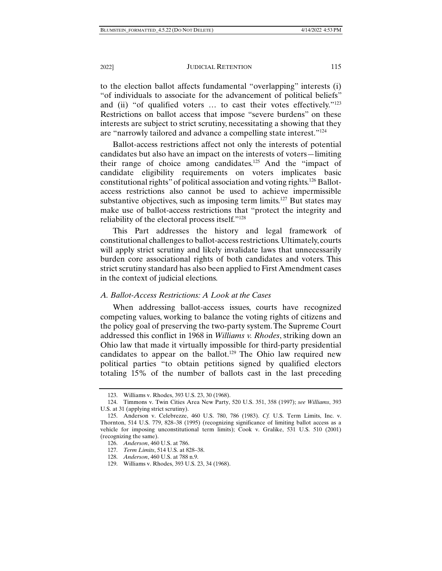to the election ballot affects fundamental "overlapping" interests (i) "of individuals to associate for the advancement of political beliefs" and (ii) "of qualified voters ... to cast their votes effectively."<sup>123</sup> Restrictions on ballot access that impose "severe burdens" on these interests are subject to strict scrutiny, necessitating a showing that they are "narrowly tailored and advance a compelling state interest."124

Ballot-access restrictions affect not only the interests of potential candidates but also have an impact on the interests of voters—limiting their range of choice among candidates.125 And the "impact of candidate eligibility requirements on voters implicates basic constitutional rights" of political association and voting rights.126 Ballotaccess restrictions also cannot be used to achieve impermissible substantive objectives, such as imposing term limits.<sup>127</sup> But states may make use of ballot-access restrictions that "protect the integrity and reliability of the electoral process itself."128

This Part addresses the history and legal framework of constitutional challenges to ballot-access restrictions. Ultimately, courts will apply strict scrutiny and likely invalidate laws that unnecessarily burden core associational rights of both candidates and voters. This strict scrutiny standard has also been applied to First Amendment cases in the context of judicial elections.

#### *A. Ballot-Access Restrictions: A Look at the Cases*

When addressing ballot-access issues, courts have recognized competing values, working to balance the voting rights of citizens and the policy goal of preserving the two-party system. The Supreme Court addressed this conflict in 1968 in *Williams v. Rhodes*, striking down an Ohio law that made it virtually impossible for third-party presidential candidates to appear on the ballot.<sup>129</sup> The Ohio law required new political parties "to obtain petitions signed by qualified electors totaling 15% of the number of ballots cast in the last preceding

 <sup>123.</sup> Williams v. Rhodes, 393 U.S. 23, 30 (1968).

 <sup>124.</sup> Timmons v. Twin Cities Area New Party, 520 U.S. 351, 358 (1997); *see Williams*, 393 U.S. at 31 (applying strict scrutiny).

 <sup>125.</sup> Anderson v. Celebrezze, 460 U.S. 780, 786 (1983). *Cf.* U.S. Term Limits, Inc. v. Thornton, 514 U.S. 779, 828–38 (1995) (recognizing significance of limiting ballot access as a vehicle for imposing unconstitutional term limits); Cook v. Gralike, 531 U.S. 510 (2001) (recognizing the same).

 <sup>126.</sup> *Anderson*, 460 U.S. at 786.

 <sup>127.</sup> *Term Limits*, 514 U.S. at 828–38.

 <sup>128.</sup> *Anderson*, 460 U.S. at 788 n.9.

 <sup>129.</sup> Williams v. Rhodes, 393 U.S. 23, 34 (1968).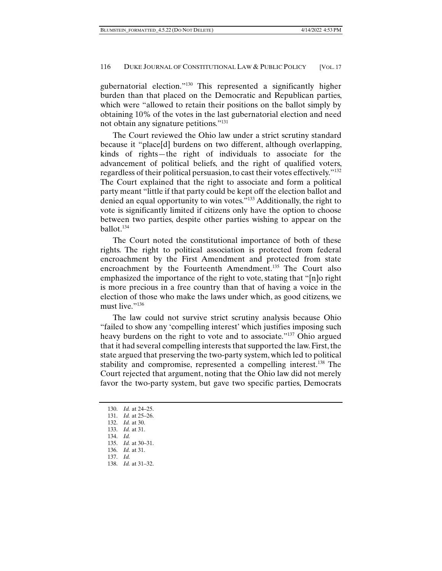gubernatorial election."130 This represented a significantly higher burden than that placed on the Democratic and Republican parties, which were "allowed to retain their positions on the ballot simply by obtaining 10% of the votes in the last gubernatorial election and need not obtain any signature petitions."131

The Court reviewed the Ohio law under a strict scrutiny standard because it "place[d] burdens on two different, although overlapping, kinds of rights—the right of individuals to associate for the advancement of political beliefs, and the right of qualified voters, regardless of their political persuasion, to cast their votes effectively."132 The Court explained that the right to associate and form a political party meant "little if that party could be kept off the election ballot and denied an equal opportunity to win votes."133 Additionally, the right to vote is significantly limited if citizens only have the option to choose between two parties, despite other parties wishing to appear on the ballot.134

The Court noted the constitutional importance of both of these rights. The right to political association is protected from federal encroachment by the First Amendment and protected from state encroachment by the Fourteenth Amendment.<sup>135</sup> The Court also emphasized the importance of the right to vote, stating that "[n]o right is more precious in a free country than that of having a voice in the election of those who make the laws under which, as good citizens, we must live."<sup>136</sup>

The law could not survive strict scrutiny analysis because Ohio "failed to show any 'compelling interest' which justifies imposing such heavy burdens on the right to vote and to associate."<sup>137</sup> Ohio argued that it had several compelling interests that supported the law. First, the state argued that preserving the two-party system, which led to political stability and compromise, represented a compelling interest.<sup>138</sup> The Court rejected that argument, noting that the Ohio law did not merely favor the two-party system, but gave two specific parties, Democrats

- 134. *Id.*
- 135. *Id.* at 30–31. 136. *Id.* at 31.
- 137. *Id.*
- 138. *Id.* at 31–32.

 <sup>130.</sup> *Id.* at 24–25.

 <sup>131.</sup> *Id.* at 25–26.

 <sup>132.</sup> *Id.* at 30.

 <sup>133.</sup> *Id.* at 31.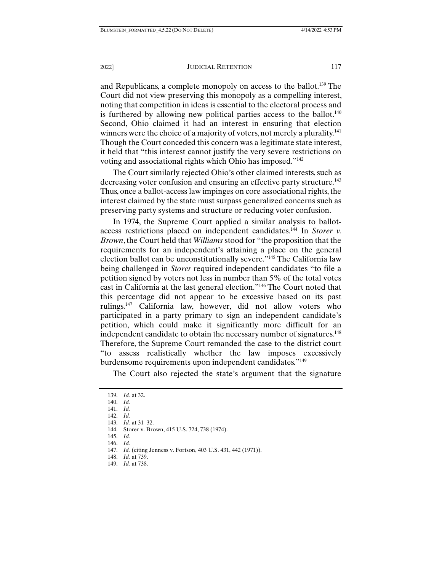#### 2022] JUDICIAL RETENTION 117

and Republicans, a complete monopoly on access to the ballot.<sup>139</sup> The Court did not view preserving this monopoly as a compelling interest, noting that competition in ideas is essential to the electoral process and is furthered by allowing new political parties access to the ballot.<sup>140</sup> Second, Ohio claimed it had an interest in ensuring that election winners were the choice of a majority of voters, not merely a plurality.<sup>141</sup> Though the Court conceded this concern was a legitimate state interest, it held that "this interest cannot justify the very severe restrictions on voting and associational rights which Ohio has imposed."142

The Court similarly rejected Ohio's other claimed interests, such as decreasing voter confusion and ensuring an effective party structure.<sup>143</sup> Thus, once a ballot-access law impinges on core associational rights, the interest claimed by the state must surpass generalized concerns such as preserving party systems and structure or reducing voter confusion.

In 1974, the Supreme Court applied a similar analysis to ballotaccess restrictions placed on independent candidates.144 In *Storer v. Brown*, the Court held that *Williams* stood for "the proposition that the requirements for an independent's attaining a place on the general election ballot can be unconstitutionally severe."145 The California law being challenged in *Storer* required independent candidates "to file a petition signed by voters not less in number than 5% of the total votes cast in California at the last general election."146 The Court noted that this percentage did not appear to be excessive based on its past rulings.147 California law, however, did not allow voters who participated in a party primary to sign an independent candidate's petition, which could make it significantly more difficult for an independent candidate to obtain the necessary number of signatures.<sup>148</sup> Therefore, the Supreme Court remanded the case to the district court "to assess realistically whether the law imposes excessively burdensome requirements upon independent candidates."149

The Court also rejected the state's argument that the signature

- 145. *Id.*
- 146. *Id.*

148. *Id.* at 739.

 <sup>139.</sup> *Id.* at 32.

 <sup>140.</sup> *Id.* 

 <sup>141.</sup> *Id.* 

 <sup>142.</sup> *Id.* 

 <sup>143.</sup> *Id.* at 31–32.

 <sup>144.</sup> Storer v. Brown, 415 U.S. 724, 738 (1974).

 <sup>147.</sup> *Id.* (citing Jenness v. Fortson, 403 U.S. 431, 442 (1971)).

 <sup>149.</sup> *Id.* at 738.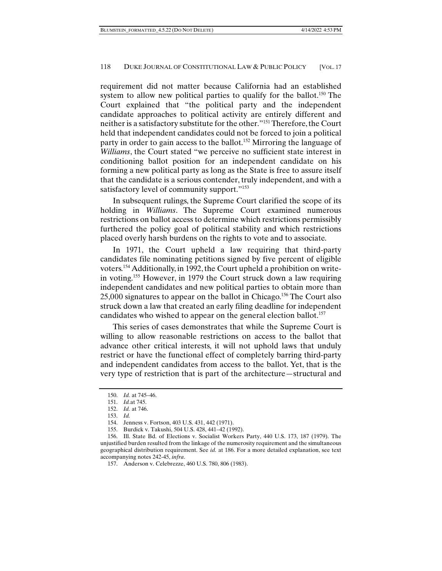requirement did not matter because California had an established system to allow new political parties to qualify for the ballot.<sup>150</sup> The Court explained that "the political party and the independent candidate approaches to political activity are entirely different and neither is a satisfactory substitute for the other."151 Therefore, the Court held that independent candidates could not be forced to join a political party in order to gain access to the ballot.<sup>152</sup> Mirroring the language of *Williams*, the Court stated "we perceive no sufficient state interest in conditioning ballot position for an independent candidate on his forming a new political party as long as the State is free to assure itself that the candidate is a serious contender, truly independent, and with a satisfactory level of community support."<sup>153</sup>

In subsequent rulings, the Supreme Court clarified the scope of its holding in *Williams*. The Supreme Court examined numerous restrictions on ballot access to determine which restrictions permissibly furthered the policy goal of political stability and which restrictions placed overly harsh burdens on the rights to vote and to associate.

In 1971, the Court upheld a law requiring that third-party candidates file nominating petitions signed by five percent of eligible voters.154 Additionally, in 1992, the Court upheld a prohibition on writein voting.155 However, in 1979 the Court struck down a law requiring independent candidates and new political parties to obtain more than 25,000 signatures to appear on the ballot in Chicago.156 The Court also struck down a law that created an early filing deadline for independent candidates who wished to appear on the general election ballot.<sup>157</sup>

This series of cases demonstrates that while the Supreme Court is willing to allow reasonable restrictions on access to the ballot that advance other critical interests, it will not uphold laws that unduly restrict or have the functional effect of completely barring third-party and independent candidates from access to the ballot. Yet, that is the very type of restriction that is part of the architecture—structural and

 <sup>150.</sup> *Id.* at 745–46.

 <sup>151.</sup> *Id.*at 745.

 <sup>152.</sup> *Id.* at 746.

 <sup>153.</sup> *Id.* 

 <sup>154.</sup> Jenness v. Fortson, 403 U.S. 431, 442 (1971).

 <sup>155.</sup> Burdick v. Takushi, 504 U.S. 428, 441–42 (1992).

 <sup>156.</sup> Ill. State Bd. of Elections v. Socialist Workers Party, 440 U.S. 173, 187 (1979). The unjustified burden resulted from the linkage of the numerosity requirement and the simultaneous geographical distribution requirement. See *id.* at 186. For a more detailed explanation, see text accompanying notes 242-45, *infra*.

 <sup>157.</sup> Anderson v. Celebrezze, 460 U.S. 780, 806 (1983).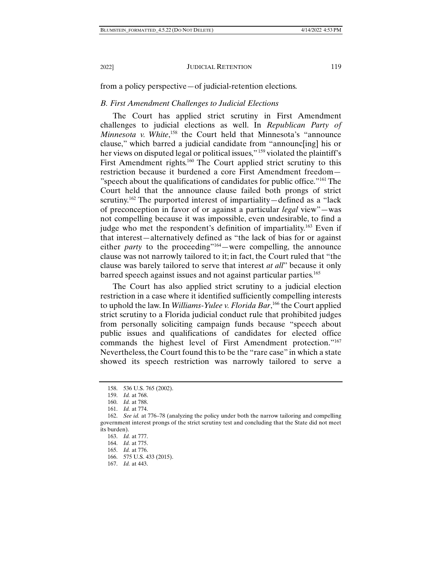from a policy perspective—of judicial-retention elections.

#### *B. First Amendment Challenges to Judicial Elections*

The Court has applied strict scrutiny in First Amendment challenges to judicial elections as well. In *Republican Party of Minnesota v. White*,<sup>158</sup> the Court held that Minnesota's "announce clause," which barred a judicial candidate from "announc[ing] his or her views on disputed legal or political issues," <sup>159</sup> violated the plaintiff's First Amendment rights.<sup>160</sup> The Court applied strict scrutiny to this restriction because it burdened a core First Amendment freedom— "speech about the qualifications of candidates for public office."161 The Court held that the announce clause failed both prongs of strict scrutiny.<sup>162</sup> The purported interest of impartiality—defined as a "lack" of preconception in favor of or against a particular *legal* view"—was not compelling because it was impossible, even undesirable, to find a judge who met the respondent's definition of impartiality.<sup>163</sup> Even if that interest—alternatively defined as "the lack of bias for or against either *party* to the proceeding"<sup>164</sup> – were compelling, the announce clause was not narrowly tailored to it; in fact, the Court ruled that "the clause was barely tailored to serve that interest *at all*" because it only barred speech against issues and not against particular parties.165

The Court has also applied strict scrutiny to a judicial election restriction in a case where it identified sufficiently compelling interests to uphold the law. In *Williams-Yulee v. Florida Bar*, 166 the Court applied strict scrutiny to a Florida judicial conduct rule that prohibited judges from personally soliciting campaign funds because "speech about public issues and qualifications of candidates for elected office commands the highest level of First Amendment protection."167 Nevertheless, the Court found this to be the "rare case" in which a state showed its speech restriction was narrowly tailored to serve a

 <sup>158. 536</sup> U.S. 765 (2002).

 <sup>159.</sup> *Id.* at 768.

 <sup>160.</sup> *Id.* at 788.

 <sup>161.</sup> *Id.* at 774.

 <sup>162.</sup> *See id.* at 776–78 (analyzing the policy under both the narrow tailoring and compelling government interest prongs of the strict scrutiny test and concluding that the State did not meet its burden).

 <sup>163.</sup> *Id.* at 777.

 <sup>164.</sup> *Id.* at 775.

 <sup>165.</sup> *Id.* at 776.

 <sup>166. 575</sup> U.S. 433 (2015).

 <sup>167.</sup> *Id.* at 443.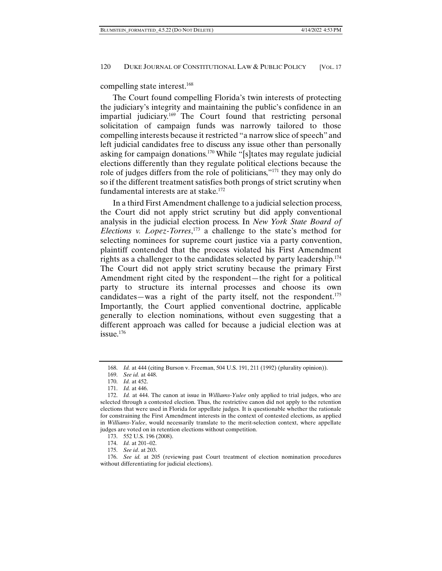compelling state interest.168

The Court found compelling Florida's twin interests of protecting the judiciary's integrity and maintaining the public's confidence in an impartial judiciary.169 The Court found that restricting personal solicitation of campaign funds was narrowly tailored to those compelling interests because it restricted "a narrow slice of speech" and left judicial candidates free to discuss any issue other than personally asking for campaign donations.170 While "[s]tates may regulate judicial elections differently than they regulate political elections because the role of judges differs from the role of politicians,"171 they may only do so if the different treatment satisfies both prongs of strict scrutiny when fundamental interests are at stake.<sup>172</sup>

In a third First Amendment challenge to a judicial selection process, the Court did not apply strict scrutiny but did apply conventional analysis in the judicial election process. In *New York State Board of Elections v. Lopez-Torres*, 173 a challenge to the state's method for selecting nominees for supreme court justice via a party convention, plaintiff contended that the process violated his First Amendment rights as a challenger to the candidates selected by party leadership.<sup>174</sup> The Court did not apply strict scrutiny because the primary First Amendment right cited by the respondent—the right for a political party to structure its internal processes and choose its own candidates—was a right of the party itself, not the respondent.<sup>175</sup> Importantly, the Court applied conventional doctrine, applicable generally to election nominations, without even suggesting that a different approach was called for because a judicial election was at issue.176

 <sup>168.</sup> *Id.* at 444 (citing Burson v. Freeman, 504 U.S. 191, 211 (1992) (plurality opinion)).

 <sup>169.</sup> *See id.* at 448.

 <sup>170.</sup> *Id.* at 452.

 <sup>171.</sup> *Id.* at 446.

 <sup>172.</sup> *Id.* at 444. The canon at issue in *Williams-Yulee* only applied to trial judges, who are selected through a contested election. Thus, the restrictive canon did not apply to the retention elections that were used in Florida for appellate judges. It is questionable whether the rationale for constraining the First Amendment interests in the context of contested elections, as applied in *Williams-Yulee*, would necessarily translate to the merit-selection context, where appellate judges are voted on in retention elections without competition.

 <sup>173. 552</sup> U.S. 196 (2008).

 <sup>174.</sup> *Id.* at 201–02.

 <sup>175.</sup> *See id*. at 203.

 <sup>176.</sup> *See id.* at 205 (reviewing past Court treatment of election nomination procedures without differentiating for judicial elections).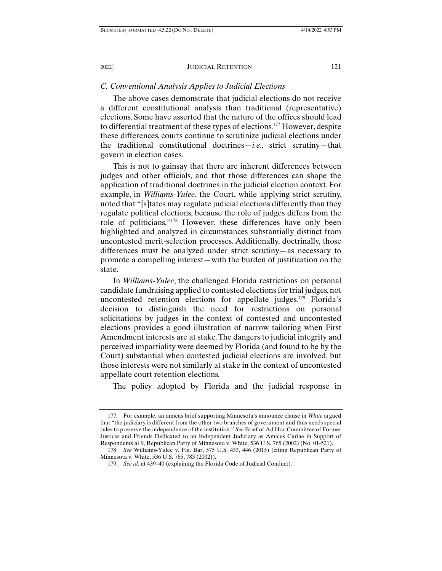# *C. Conventional Analysis Applies to Judicial Elections*

The above cases demonstrate that judicial elections do not receive a different constitutional analysis than traditional (representative) elections. Some have asserted that the nature of the offices should lead to differential treatment of these types of elections.177 However, despite these differences, courts continue to scrutinize judicial elections under the traditional constitutional doctrines—*i.e.*, strict scrutiny—that govern in election cases.

This is not to gainsay that there are inherent differences between judges and other officials, and that those differences can shape the application of traditional doctrines in the judicial election context. For example, in *Williams-Yulee*, the Court, while applying strict scrutiny, noted that "[s]tates may regulate judicial elections differently than they regulate political elections, because the role of judges differs from the role of politicians."178 However, these differences have only been highlighted and analyzed in circumstances substantially distinct from uncontested merit-selection processes. Additionally, doctrinally, those differences must be analyzed under strict scrutiny—as necessary to promote a compelling interest—with the burden of justification on the state.

In *Williams-Yulee*, the challenged Florida restrictions on personal candidate fundraising applied to contested elections for trial judges, not uncontested retention elections for appellate judges.<sup>179</sup> Florida's decision to distinguish the need for restrictions on personal solicitations by judges in the context of contested and uncontested elections provides a good illustration of narrow tailoring when First Amendment interests are at stake. The dangers to judicial integrity and perceived impartiality were deemed by Florida (and found to be by the Court) substantial when contested judicial elections are involved, but those interests were not similarly at stake in the context of uncontested appellate court retention elections.

The policy adopted by Florida and the judicial response in

 <sup>177.</sup> For example, an amicus brief supporting Minnesota's announce clause in *White* argued that "the judiciary is different from the other two branches of government and thus needs special rules to preserve the independence of the institution." *See* Brief of Ad Hoc Committee of Former Justices and Friends Dedicated to an Independent Judiciary as Amicus Curiae in Support of Respondents at 9, Republican Party of Minnesota v. White, 536 U.S. 765 (2002) (No. 01-521).

 <sup>178.</sup> *See* Williams-Yulee v. Fla. Bar, 575 U.S. 433, 446 (2015) (citing Republican Party of Minnesota v. White, 536 U.S. 765, 783 (2002)).

 <sup>179.</sup> *See id.* at 439–40 (explaining the Florida Code of Judicial Conduct).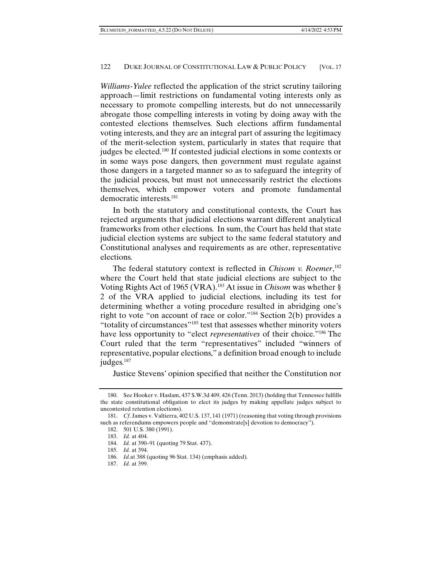*Williams-Yulee* reflected the application of the strict scrutiny tailoring approach—limit restrictions on fundamental voting interests only as necessary to promote compelling interests, but do not unnecessarily abrogate those compelling interests in voting by doing away with the contested elections themselves. Such elections affirm fundamental voting interests, and they are an integral part of assuring the legitimacy of the merit-selection system, particularly in states that require that judges be elected.<sup>180</sup> If contested judicial elections in some contexts or in some ways pose dangers, then government must regulate against those dangers in a targeted manner so as to safeguard the integrity of the judicial process, but must not unnecessarily restrict the elections themselves, which empower voters and promote fundamental democratic interests.181

In both the statutory and constitutional contexts, the Court has rejected arguments that judicial elections warrant different analytical frameworks from other elections. In sum, the Court has held that state judicial election systems are subject to the same federal statutory and Constitutional analyses and requirements as are other, representative elections.

The federal statutory context is reflected in *Chisom v. Roemer*, 182 where the Court held that state judicial elections are subject to the Voting Rights Act of 1965 (VRA).183 At issue in *Chisom* was whether § 2 of the VRA applied to judicial elections, including its test for determining whether a voting procedure resulted in abridging one's right to vote "on account of race or color."184 Section 2(b) provides a "totality of circumstances"185 test that assesses whether minority voters have less opportunity to "elect *representatives* of their choice."186 The Court ruled that the term "representatives" included "winners of representative, popular elections," a definition broad enough to include judges.<sup>187</sup>

Justice Stevens' opinion specified that neither the Constitution nor

 <sup>180.</sup> See Hooker v. Haslam, 437 S.W.3d 409, 426 (Tenn. 2013) (holding that Tennessee fulfills the state constitutional obligation to elect its judges by making appellate judges subject to uncontested retention elections).

 <sup>181.</sup> *Cf*. James v. Valtierra, 402 U.S. 137, 141 (1971) (reasoning that voting through provisions such as referendums empowers people and "demonstrate<sup>[s]</sup> devotion to democracy").

 <sup>182. 501</sup> U.S. 380 (1991).

 <sup>183.</sup> *Id.* at 404.

 <sup>184.</sup> *Id.* at 390–91 (quoting 79 Stat. 437).

 <sup>185.</sup> *Id.* at 394.

 <sup>186.</sup> *Id.*at 388 (quoting 96 Stat. 134) (emphasis added).

 <sup>187.</sup> *Id.* at 399.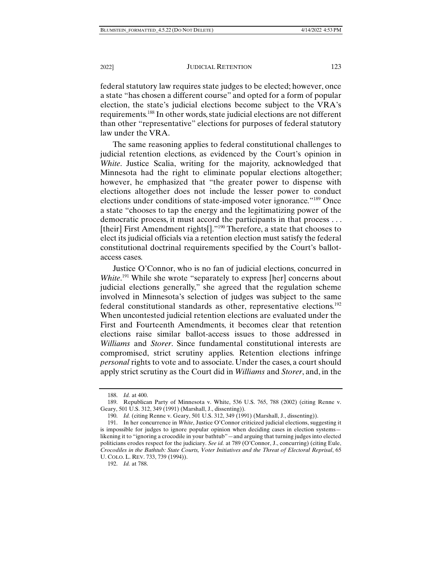federal statutory law requires state judges to be elected; however, once a state "has chosen a different course" and opted for a form of popular election, the state's judicial elections become subject to the VRA's requirements.188 In other words, state judicial elections are not different than other "representative" elections for purposes of federal statutory law under the VRA.

The same reasoning applies to federal constitutional challenges to judicial retention elections, as evidenced by the Court's opinion in *White*. Justice Scalia, writing for the majority, acknowledged that Minnesota had the right to eliminate popular elections altogether; however, he emphasized that "the greater power to dispense with elections altogether does not include the lesser power to conduct elections under conditions of state-imposed voter ignorance."189 Once a state "chooses to tap the energy and the legitimatizing power of the democratic process, it must accord the participants in that process . . . [their] First Amendment rights[]."<sup>190</sup> Therefore, a state that chooses to elect its judicial officials via a retention election must satisfy the federal constitutional doctrinal requirements specified by the Court's ballotaccess cases.

Justice O'Connor, who is no fan of judicial elections, concurred in White.<sup>191</sup> While she wrote "separately to express [her] concerns about judicial elections generally," she agreed that the regulation scheme involved in Minnesota's selection of judges was subject to the same federal constitutional standards as other, representative elections.192 When uncontested judicial retention elections are evaluated under the First and Fourteenth Amendments, it becomes clear that retention elections raise similar ballot-access issues to those addressed in *Williams* and *Storer*. Since fundamental constitutional interests are compromised, strict scrutiny applies. Retention elections infringe *personal* rights to vote and to associate. Under the cases, a court should apply strict scrutiny as the Court did in *Williams* and *Storer*, and, in the

 <sup>188.</sup> *Id.* at 400.

 <sup>189.</sup> Republican Party of Minnesota v. White, 536 U.S. 765, 788 (2002) (citing Renne v. Geary, 501 U.S. 312, 349 (1991) (Marshall, J., dissenting)).

 <sup>190.</sup> *Id.* (citing Renne v. Geary, 501 U.S. 312, 349 (1991) (Marshall, J., dissenting)).

 <sup>191.</sup> In her concurrence in *White*, Justice O'Connor criticized judicial elections, suggesting it is impossible for judges to ignore popular opinion when deciding cases in election systems likening it to "ignoring a crocodile in your bathtub"—and arguing that turning judges into elected politicians erodes respect for the judiciary. *See id.* at 789 (O'Connor, J., concurring) (citing Eule, *Crocodiles in the Bathtub: State Courts, Voter Initiatives and the Threat of Electoral Reprisal*, 65 U. COLO. L. REV. 733, 739 (1994)).

 <sup>192.</sup> *Id.* at 788.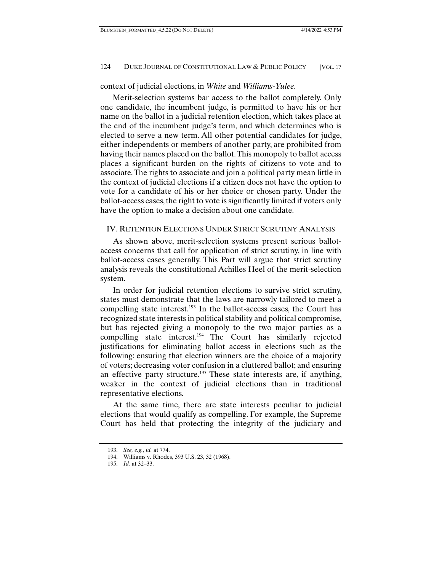# context of judicial elections, in *White* and *Williams-Yulee.*

Merit-selection systems bar access to the ballot completely. Only one candidate, the incumbent judge, is permitted to have his or her name on the ballot in a judicial retention election, which takes place at the end of the incumbent judge's term, and which determines who is elected to serve a new term. All other potential candidates for judge, either independents or members of another party, are prohibited from having their names placed on the ballot. This monopoly to ballot access places a significant burden on the rights of citizens to vote and to associate. The rights to associate and join a political party mean little in the context of judicial elections if a citizen does not have the option to vote for a candidate of his or her choice or chosen party. Under the ballot-access cases, the right to vote is significantly limited if voters only have the option to make a decision about one candidate.

# IV. RETENTION ELECTIONS UNDER STRICT SCRUTINY ANALYSIS

As shown above, merit-selection systems present serious ballotaccess concerns that call for application of strict scrutiny, in line with ballot-access cases generally. This Part will argue that strict scrutiny analysis reveals the constitutional Achilles Heel of the merit-selection system.

In order for judicial retention elections to survive strict scrutiny, states must demonstrate that the laws are narrowly tailored to meet a compelling state interest.<sup>193</sup> In the ballot-access cases, the Court has recognized state interests in political stability and political compromise, but has rejected giving a monopoly to the two major parties as a compelling state interest.<sup>194</sup> The Court has similarly rejected justifications for eliminating ballot access in elections such as the following: ensuring that election winners are the choice of a majority of voters; decreasing voter confusion in a cluttered ballot; and ensuring an effective party structure.<sup>195</sup> These state interests are, if anything, weaker in the context of judicial elections than in traditional representative elections.

At the same time, there are state interests peculiar to judicial elections that would qualify as compelling. For example, the Supreme Court has held that protecting the integrity of the judiciary and

 <sup>193.</sup> *See, e.g.*, *id.* at 774.

 <sup>194.</sup> Williams v. Rhodes, 393 U.S. 23, 32 (1968).

 <sup>195.</sup> *Id.* at 32–33.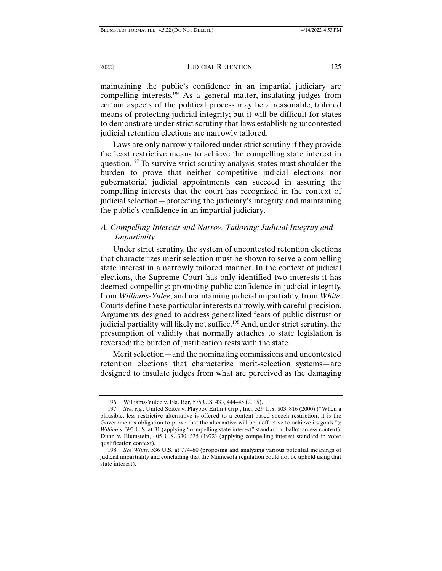maintaining the public's confidence in an impartial judiciary are compelling interests.196 As a general matter, insulating judges from certain aspects of the political process may be a reasonable, tailored means of protecting judicial integrity; but it will be difficult for states to demonstrate under strict scrutiny that laws establishing uncontested judicial retention elections are narrowly tailored.

Laws are only narrowly tailored under strict scrutiny if they provide the least restrictive means to achieve the compelling state interest in question.<sup>197</sup> To survive strict scrutiny analysis, states must shoulder the burden to prove that neither competitive judicial elections nor gubernatorial judicial appointments can succeed in assuring the compelling interests that the court has recognized in the context of judicial selection—protecting the judiciary's integrity and maintaining the public's confidence in an impartial judiciary.

# *A. Compelling Interests and Narrow Tailoring: Judicial Integrity and Impartiality*

Under strict scrutiny, the system of uncontested retention elections that characterizes merit selection must be shown to serve a compelling state interest in a narrowly tailored manner. In the context of judicial elections, the Supreme Court has only identified two interests it has deemed compelling: promoting public confidence in judicial integrity, from *Williams-Yulee*; and maintaining judicial impartiality, from *White*. Courts define these particular interests narrowly, with careful precision. Arguments designed to address generalized fears of public distrust or judicial partiality will likely not suffice.<sup>198</sup> And, under strict scrutiny, the presumption of validity that normally attaches to state legislation is reversed; the burden of justification rests with the state.

Merit selection—and the nominating commissions and uncontested retention elections that characterize merit-selection systems—are designed to insulate judges from what are perceived as the damaging

 <sup>196.</sup> Williams-Yulee v. Fla. Bar*,* 575 U.S. 433, 444–45 (2015).

 <sup>197.</sup> *See, e.g.*, United States v. Playboy Entm't Grp., Inc., 529 U.S. 803, 816 (2000) ("When a plausible, less restrictive alternative is offered to a content-based speech restriction, it is the Government's obligation to prove that the alternative will be ineffective to achieve its goals."); *Williams*, 393 U.S. at 31 (applying "compelling state interest" standard in ballot-access context); Dunn v. Blumstein, 405 U.S. 330, 335 (1972) (applying compelling interest standard in voter qualification context).

 <sup>198.</sup> *See White*, 536 U.S. at 774–80 (proposing and analyzing various potential meanings of judicial impartiality and concluding that the Minnesota regulation could not be upheld using that state interest).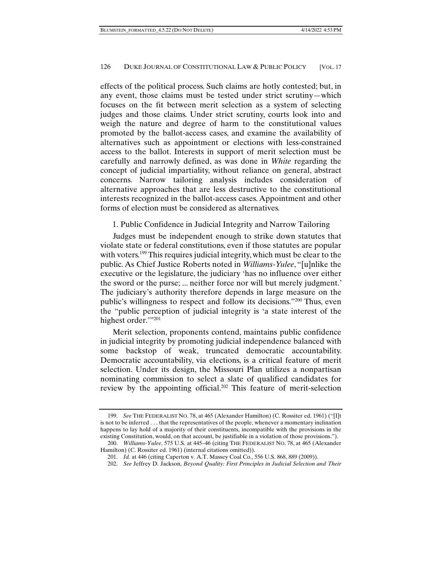effects of the political process. Such claims are hotly contested; but, in any event, those claims must be tested under strict scrutiny—which focuses on the fit between merit selection as a system of selecting judges and those claims. Under strict scrutiny, courts look into and weigh the nature and degree of harm to the constitutional values promoted by the ballot-access cases, and examine the availability of alternatives such as appointment or elections with less-constrained access to the ballot. Interests in support of merit selection must be carefully and narrowly defined, as was done in *White* regarding the concept of judicial impartiality, without reliance on general, abstract concerns. Narrow tailoring analysis includes consideration of alternative approaches that are less destructive to the constitutional interests recognized in the ballot-access cases. Appointment and other forms of election must be considered as alternatives.

# 1. Public Confidence in Judicial Integrity and Narrow Tailoring

Judges must be independent enough to strike down statutes that violate state or federal constitutions, even if those statutes are popular with voters.<sup>199</sup> This requires judicial integrity, which must be clear to the public. As Chief Justice Roberts noted in *Williams-Yulee*, "[u]nlike the executive or the legislature, the judiciary 'has no influence over either the sword or the purse; ... neither force nor will but merely judgment.' The judiciary's authority therefore depends in large measure on the public's willingness to respect and follow its decisions."200 Thus, even the "public perception of judicial integrity is 'a state interest of the highest order."<sup>201</sup>

Merit selection, proponents contend, maintains public confidence in judicial integrity by promoting judicial independence balanced with some backstop of weak, truncated democratic accountability. Democratic accountability, via elections, is a critical feature of merit selection. Under its design, the Missouri Plan utilizes a nonpartisan nominating commission to select a slate of qualified candidates for review by the appointing official.202 This feature of merit-selection

 <sup>199.</sup> *See* THE FEDERALIST NO. 78, at 465 (Alexander Hamilton) (C. Rossiter ed. 1961) ("[I]t is not to be inferred . . . that the representatives of the people, whenever a momentary inclination happens to lay hold of a majority of their constituents, incompatible with the provisions in the existing Constitution, would, on that account, be justifiable in a violation of those provisions.").

 <sup>200.</sup> *Williams-Yulee*, 575 U.S. at 445–46 (citing THE FEDERALIST NO. 78, at 465 (Alexander Hamilton) (C. Rossiter ed. 1961) (internal citations omitted)).

 <sup>201.</sup> *Id.* at 446 (citing Caperton v. A.T. Massey Coal Co., 556 U.S. 868, 889 (2009)).

 <sup>202.</sup> *See* Jeffrey D. Jackson, *Beyond Quality: First Principles in Judicial Selection and Their*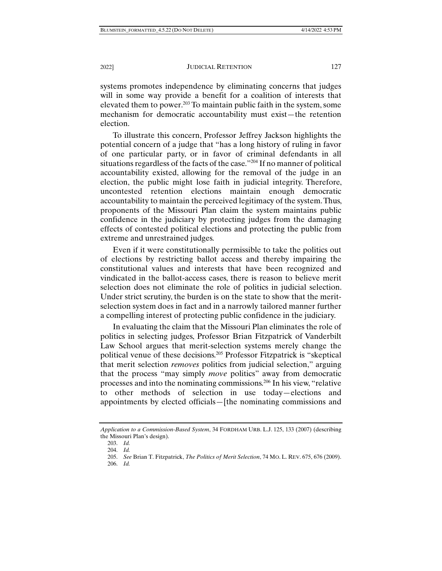systems promotes independence by eliminating concerns that judges will in some way provide a benefit for a coalition of interests that elevated them to power.<sup>203</sup> To maintain public faith in the system, some mechanism for democratic accountability must exist—the retention election.

To illustrate this concern, Professor Jeffrey Jackson highlights the potential concern of a judge that "has a long history of ruling in favor of one particular party, or in favor of criminal defendants in all situations regardless of the facts of the case."204 If no manner of political accountability existed, allowing for the removal of the judge in an election, the public might lose faith in judicial integrity. Therefore, uncontested retention elections maintain enough democratic accountability to maintain the perceived legitimacy of the system. Thus, proponents of the Missouri Plan claim the system maintains public confidence in the judiciary by protecting judges from the damaging effects of contested political elections and protecting the public from extreme and unrestrained judges.

Even if it were constitutionally permissible to take the politics out of elections by restricting ballot access and thereby impairing the constitutional values and interests that have been recognized and vindicated in the ballot-access cases, there is reason to believe merit selection does not eliminate the role of politics in judicial selection. Under strict scrutiny, the burden is on the state to show that the meritselection system does in fact and in a narrowly tailored manner further a compelling interest of protecting public confidence in the judiciary.

In evaluating the claim that the Missouri Plan eliminates the role of politics in selecting judges, Professor Brian Fitzpatrick of Vanderbilt Law School argues that merit-selection systems merely change the political venue of these decisions.205 Professor Fitzpatrick is "skeptical that merit selection *removes* politics from judicial selection," arguing that the process "may simply *move* politics" away from democratic processes and into the nominating commissions.206 In his view, "relative to other methods of selection in use today—elections and appointments by elected officials—[the nominating commissions and

206. *Id.*

*Application to a Commission-Based System*, 34 FORDHAM URB. L.J. 125, 133 (2007) (describing the Missouri Plan's design).

 <sup>203.</sup> *Id.*

 <sup>204.</sup> *Id.*

 <sup>205.</sup> *See* Brian T. Fitzpatrick, *The Politics of Merit Selection*, 74 MO. L. REV. 675, 676 (2009).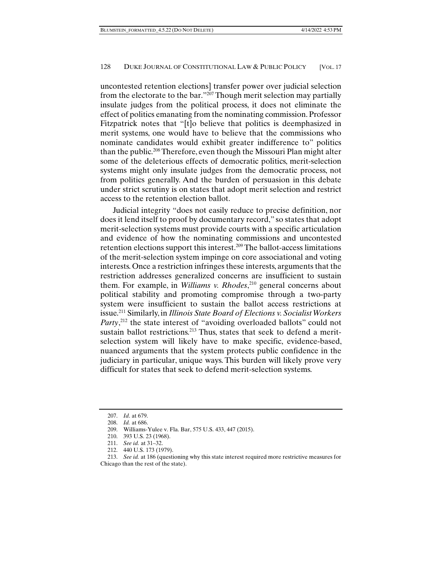uncontested retention elections] transfer power over judicial selection from the electorate to the bar."<sup>207</sup> Though merit selection may partially insulate judges from the political process, it does not eliminate the effect of politics emanating from the nominating commission. Professor Fitzpatrick notes that "[t]o believe that politics is deemphasized in merit systems, one would have to believe that the commissions who nominate candidates would exhibit greater indifference to" politics than the public.208 Therefore, even though the Missouri Plan might alter some of the deleterious effects of democratic politics, merit-selection systems might only insulate judges from the democratic process, not from politics generally. And the burden of persuasion in this debate under strict scrutiny is on states that adopt merit selection and restrict access to the retention election ballot.

Judicial integrity "does not easily reduce to precise definition, nor does it lend itself to proof by documentary record," so states that adopt merit-selection systems must provide courts with a specific articulation and evidence of how the nominating commissions and uncontested retention elections support this interest.209 The ballot-access limitations of the merit-selection system impinge on core associational and voting interests. Once a restriction infringes these interests, arguments that the restriction addresses generalized concerns are insufficient to sustain them. For example, in *Williams v. Rhodes*, 210 general concerns about political stability and promoting compromise through a two-party system were insufficient to sustain the ballot access restrictions at issue.211 Similarly, in *Illinois State Board of Elections v. Socialist Workers Party*<sup>212</sup>, the state interest of "avoiding overloaded ballots" could not sustain ballot restrictions.<sup>213</sup> Thus, states that seek to defend a meritselection system will likely have to make specific, evidence-based, nuanced arguments that the system protects public confidence in the judiciary in particular, unique ways. This burden will likely prove very difficult for states that seek to defend merit-selection systems.

 <sup>207.</sup> *Id*. at 679.

 <sup>208.</sup> *Id.* at 686.

 <sup>209.</sup> Williams-Yulee v. Fla. Bar, 575 U.S. 433, 447 (2015).

 <sup>210. 393</sup> U.S. 23 (1968).

 <sup>211.</sup> *See id.* at 31–32.

 <sup>212. 440</sup> U.S. 173 (1979).

 <sup>213.</sup> *See id.* at 186 (questioning why this state interest required more restrictive measures for Chicago than the rest of the state).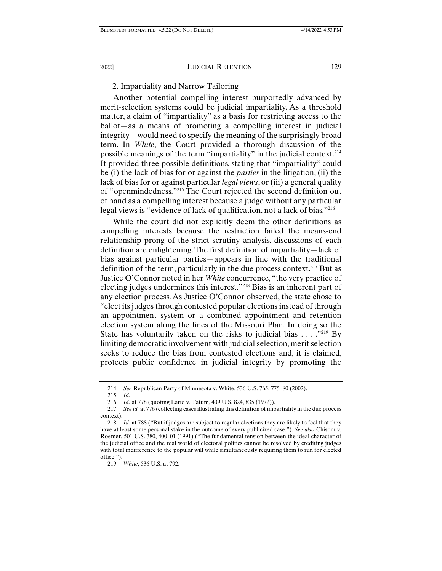### 2. Impartiality and Narrow Tailoring

Another potential compelling interest purportedly advanced by merit-selection systems could be judicial impartiality. As a threshold matter, a claim of "impartiality" as a basis for restricting access to the ballot—as a means of promoting a compelling interest in judicial integrity—would need to specify the meaning of the surprisingly broad term. In *White*, the Court provided a thorough discussion of the possible meanings of the term "impartiality" in the judicial context.214 It provided three possible definitions, stating that "impartiality" could be (i) the lack of bias for or against the *parties* in the litigation, (ii) the lack of bias for or against particular *legal views*, or (iii) a general quality of "openmindedness."215 The Court rejected the second definition out of hand as a compelling interest because a judge without any particular legal views is "evidence of lack of qualification, not a lack of bias."216

While the court did not explicitly deem the other definitions as compelling interests because the restriction failed the means-end relationship prong of the strict scrutiny analysis, discussions of each definition are enlightening. The first definition of impartiality—lack of bias against particular parties—appears in line with the traditional definition of the term, particularly in the due process context.<sup>217</sup> But as Justice O'Connor noted in her *White* concurrence, "the very practice of electing judges undermines this interest."218 Bias is an inherent part of any election process. As Justice O'Connor observed, the state chose to "elect its judges through contested popular elections instead of through an appointment system or a combined appointment and retention election system along the lines of the Missouri Plan. In doing so the State has voluntarily taken on the risks to judicial bias  $\dots$  ."<sup>219</sup> By limiting democratic involvement with judicial selection, merit selection seeks to reduce the bias from contested elections and, it is claimed, protects public confidence in judicial integrity by promoting the

 <sup>214.</sup> *See* Republican Party of Minnesota v. White, 536 U.S. 765, 775–80 (2002).

 <sup>215.</sup> *Id.* 

 <sup>216.</sup> *Id.* at 778 (quoting Laird v. Tatum*,* 409 U.S. 824, 835 (1972)).

 <sup>217.</sup> *See id.* at 776 (collecting cases illustrating this definition of impartiality in the due process context).

 <sup>218.</sup> *Id.* at 788 ("But if judges are subject to regular elections they are likely to feel that they have at least some personal stake in the outcome of every publicized case."). *See also* Chisom v. Roemer, 501 U.S. 380, 400–01 (1991) ("The fundamental tension between the ideal character of the judicial office and the real world of electoral politics cannot be resolved by crediting judges with total indifference to the popular will while simultaneously requiring them to run for elected office.").

 <sup>219.</sup> *White*, 536 U.S. at 792.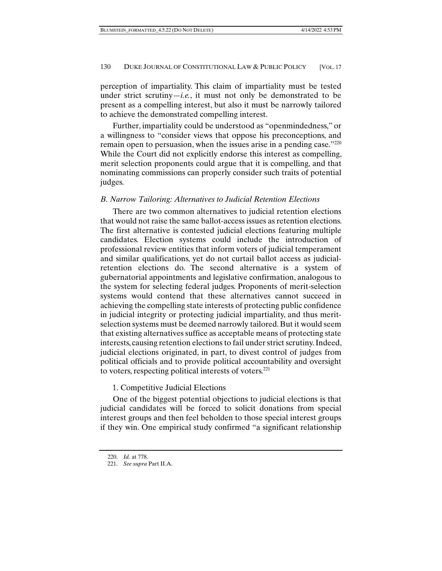perception of impartiality. This claim of impartiality must be tested under strict scrutiny—*i.e.*, it must not only be demonstrated to be present as a compelling interest, but also it must be narrowly tailored to achieve the demonstrated compelling interest.

Further, impartiality could be understood as "openmindedness," or a willingness to "consider views that oppose his preconceptions, and remain open to persuasion, when the issues arise in a pending case."<sup>220</sup> While the Court did not explicitly endorse this interest as compelling, merit selection proponents could argue that it is compelling, and that nominating commissions can properly consider such traits of potential judges.

# *B. Narrow Tailoring: Alternatives to Judicial Retention Elections*

There are two common alternatives to judicial retention elections that would not raise the same ballot-access issues as retention elections. The first alternative is contested judicial elections featuring multiple candidates. Election systems could include the introduction of professional review entities that inform voters of judicial temperament and similar qualifications, yet do not curtail ballot access as judicialretention elections do. The second alternative is a system of gubernatorial appointments and legislative confirmation, analogous to the system for selecting federal judges. Proponents of merit-selection systems would contend that these alternatives cannot succeed in achieving the compelling state interests of protecting public confidence in judicial integrity or protecting judicial impartiality, and thus meritselection systems must be deemed narrowly tailored. But it would seem that existing alternatives suffice as acceptable means of protecting state interests, causing retention elections to fail under strict scrutiny. Indeed, judicial elections originated, in part, to divest control of judges from political officials and to provide political accountability and oversight to voters, respecting political interests of voters.221

# 1. Competitive Judicial Elections

One of the biggest potential objections to judicial elections is that judicial candidates will be forced to solicit donations from special interest groups and then feel beholden to those special interest groups if they win. One empirical study confirmed "a significant relationship

 <sup>220.</sup> *Id.* at 778.

 <sup>221.</sup> *See supra* Part II.A.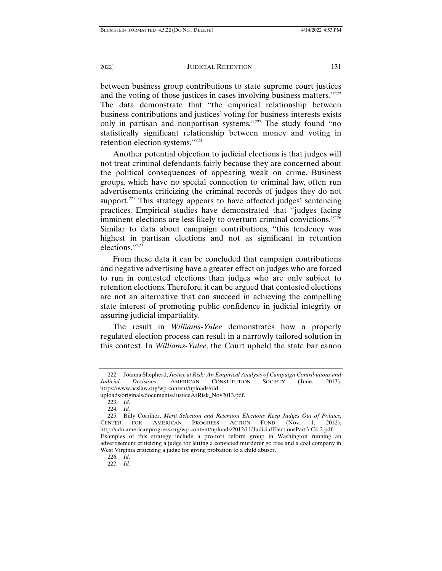2022] JUDICIAL RETENTION 131

between business group contributions to state supreme court justices and the voting of those justices in cases involving business matters."222 The data demonstrate that "the empirical relationship between business contributions and justices' voting for business interests exists only in partisan and nonpartisan systems."223 The study found "no statistically significant relationship between money and voting in retention election systems."224

Another potential objection to judicial elections is that judges will not treat criminal defendants fairly because they are concerned about the political consequences of appearing weak on crime. Business groups, which have no special connection to criminal law, often run advertisements criticizing the criminal records of judges they do not support.<sup>225</sup> This strategy appears to have affected judges' sentencing practices. Empirical studies have demonstrated that "judges facing imminent elections are less likely to overturn criminal convictions."<sup>226</sup> Similar to data about campaign contributions, "this tendency was highest in partisan elections and not as significant in retention elections."227

From these data it can be concluded that campaign contributions and negative advertising have a greater effect on judges who are forced to run in contested elections than judges who are only subject to retention elections. Therefore, it can be argued that contested elections are not an alternative that can succeed in achieving the compelling state interest of promoting public confidence in judicial integrity or assuring judicial impartiality.

The result in *Williams-Yulee* demonstrates how a properly regulated election process can result in a narrowly tailored solution in this context. In *Williams-Yulee*, the Court upheld the state bar canon

227. *Id.* 

 <sup>222.</sup> Joanna Shepherd, *Justice at Risk: An Empirical Analysis of Campaign Contributions and Judicial Decisions*, AMERICAN CONSTITUTION SOCIETY (June, 2013), https://www.acslaw.org/wp-content/uploads/old-

uploads/originals/documents/JusticeAtRisk\_Nov2013.pdf.

 <sup>223.</sup> *Id.* 

 <sup>224.</sup> *Id.* 

 <sup>225.</sup> Billy Corriher, *Merit Selection and Retention Elections Keep Judges Out of Politics*, CENTER FOR AMERICAN PROGRESS ACTION FUND (Nov. 1, 2012), http://cdn.americanprogress.org/wp-content/uploads/2012/11/JudicialElectionsPart3-C4-2.pdf. Examples of this strategy include a pro-tort reform group in Washington running an advertisement criticizing a judge for letting a convicted murderer go free and a coal company in West Virginia criticizing a judge for giving probation to a child abuser.

 <sup>226.</sup> *Id.*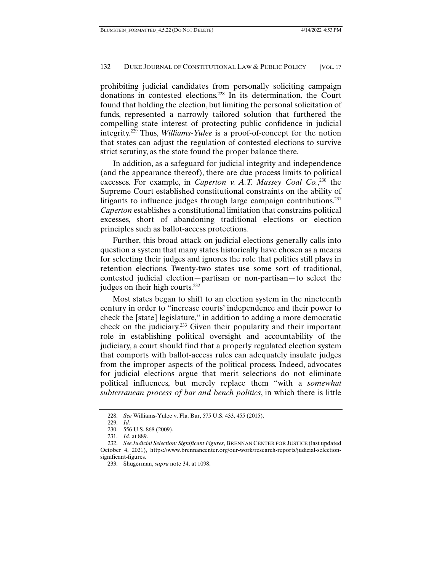prohibiting judicial candidates from personally soliciting campaign donations in contested elections.228 In its determination, the Court found that holding the election, but limiting the personal solicitation of funds, represented a narrowly tailored solution that furthered the compelling state interest of protecting public confidence in judicial integrity.229 Thus, *Williams-Yulee* is a proof-of-concept for the notion that states can adjust the regulation of contested elections to survive strict scrutiny, as the state found the proper balance there.

In addition, as a safeguard for judicial integrity and independence (and the appearance thereof), there are due process limits to political excesses. For example, in *Caperton v. A.T. Massey Coal Co.*, 230 the Supreme Court established constitutional constraints on the ability of litigants to influence judges through large campaign contributions.231 *Caperton* establishes a constitutional limitation that constrains political excesses, short of abandoning traditional elections or election principles such as ballot-access protections.

Further, this broad attack on judicial elections generally calls into question a system that many states historically have chosen as a means for selecting their judges and ignores the role that politics still plays in retention elections. Twenty-two states use some sort of traditional, contested judicial election—partisan or non-partisan—to select the judges on their high courts.<sup>232</sup>

Most states began to shift to an election system in the nineteenth century in order to "increase courts' independence and their power to check the [state] legislature," in addition to adding a more democratic check on the judiciary.233 Given their popularity and their important role in establishing political oversight and accountability of the judiciary, a court should find that a properly regulated election system that comports with ballot-access rules can adequately insulate judges from the improper aspects of the political process. Indeed, advocates for judicial elections argue that merit selections do not eliminate political influences, but merely replace them "with a *somewhat subterranean process of bar and bench politics*, in which there is little

 <sup>228.</sup> *See* Williams-Yulee v. Fla. Bar, 575 U.S. 433, 455 (2015).

 <sup>229.</sup> *Id.*

 <sup>230. 556</sup> U.S. 868 (2009).

 <sup>231.</sup> *Id.* at 889.

 <sup>232.</sup> *See Judicial Selection: Significant Figures*, BRENNAN CENTER FOR JUSTICE (last updated October 4, 2021), https://www.brennancenter.org/our-work/research-reports/judicial-selectionsignificant-figures.

 <sup>233.</sup> Shugerman, *supra* note 34, at 1098.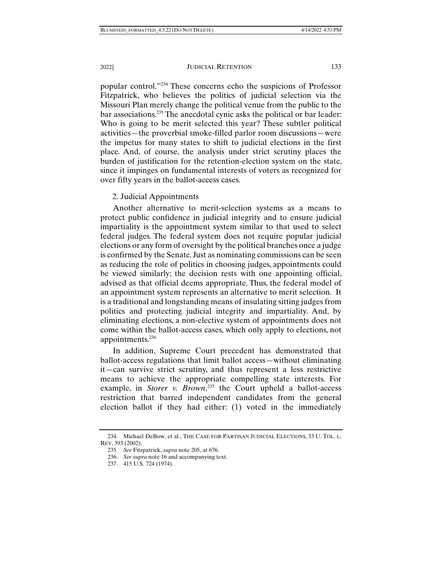popular control."234 These concerns echo the suspicions of Professor Fitzpatrick, who believes the politics of judicial selection via the Missouri Plan merely change the political venue from the public to the bar associations.<sup>235</sup> The anecdotal cynic asks the political or bar leader: Who is going to be merit selected this year? These subtler political activities—the proverbial smoke-filled parlor room discussions—were the impetus for many states to shift to judicial elections in the first place. And, of course, the analysis under strict scrutiny places the burden of justification for the retention-election system on the state, since it impinges on fundamental interests of voters as recognized for over fifty years in the ballot-access cases.

#### 2. Judicial Appointments

Another alternative to merit-selection systems as a means to protect public confidence in judicial integrity and to ensure judicial impartiality is the appointment system similar to that used to select federal judges. The federal system does not require popular judicial elections or any form of oversight by the political branches once a judge is confirmed by the Senate. Just as nominating commissions can be seen as reducing the role of politics in choosing judges, appointments could be viewed similarly; the decision rests with one appointing official, advised as that official deems appropriate. Thus, the federal model of an appointment system represents an alternative to merit selection. It is a traditional and longstanding means of insulating sitting judges from politics and protecting judicial integrity and impartiality. And, by eliminating elections, a non-elective system of appointments does not come within the ballot-access cases, which only apply to elections, not appointments.<sup>236</sup>

In addition, Supreme Court precedent has demonstrated that ballot-access regulations that limit ballot access—without eliminating it—can survive strict scrutiny, and thus represent a less restrictive means to achieve the appropriate compelling state interests. For example, in *Storer v. Brown*,<sup>237</sup> the Court upheld a ballot-access restriction that barred independent candidates from the general election ballot if they had either: (1) voted in the immediately

 <sup>234.</sup> Michael DeBow, et al., THE CASE FOR PARTISAN JUDICIAL ELECTIONS, 33 U. TOL. L. REV. 393 (2002).

 <sup>235.</sup> *See* Fitzpatrick, *supra* note 205, at 676.

 <sup>236.</sup> *See supra* note 16 and accompanying text.

 <sup>237. 415</sup> U.S. 724 (1974).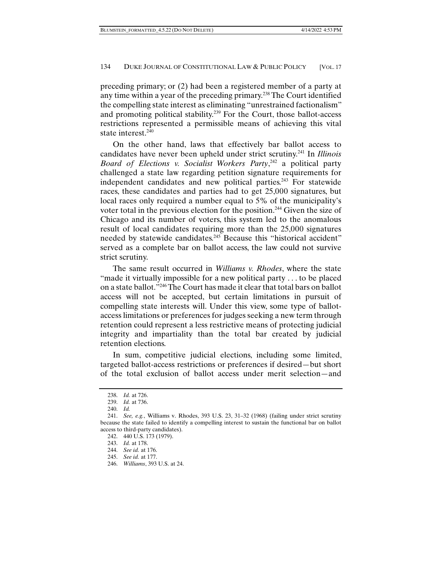preceding primary; or (2) had been a registered member of a party at any time within a year of the preceding primary.238 The Court identified the compelling state interest as eliminating "unrestrained factionalism" and promoting political stability.239 For the Court, those ballot-access restrictions represented a permissible means of achieving this vital state interest.<sup>240</sup>

On the other hand, laws that effectively bar ballot access to candidates have never been upheld under strict scrutiny.241 In *Illinois Board of Elections v. Socialist Workers Party*, 242 a political party challenged a state law regarding petition signature requirements for independent candidates and new political parties.<sup>243</sup> For statewide races, these candidates and parties had to get 25,000 signatures, but local races only required a number equal to 5% of the municipality's voter total in the previous election for the position.244 Given the size of Chicago and its number of voters, this system led to the anomalous result of local candidates requiring more than the 25,000 signatures needed by statewide candidates.<sup>245</sup> Because this "historical accident" served as a complete bar on ballot access, the law could not survive strict scrutiny.

The same result occurred in *Williams v. Rhodes*, where the state "made it virtually impossible for a new political party . . . to be placed on a state ballot."246 The Court has made it clear that total bars on ballot access will not be accepted, but certain limitations in pursuit of compelling state interests will. Under this view, some type of ballotaccess limitations or preferences for judges seeking a new term through retention could represent a less restrictive means of protecting judicial integrity and impartiality than the total bar created by judicial retention elections.

In sum, competitive judicial elections, including some limited, targeted ballot-access restrictions or preferences if desired—but short of the total exclusion of ballot access under merit selection—and

 <sup>238.</sup> *Id.* at 726.

 <sup>239.</sup> *Id.* at 736.

 <sup>240.</sup> *Id.* 

 <sup>241.</sup> *See, e.g.*, Williams v. Rhodes, 393 U.S. 23, 31–32 (1968) (failing under strict scrutiny because the state failed to identify a compelling interest to sustain the functional bar on ballot access to third-party candidates).

 <sup>242. 440</sup> U.S. 173 (1979).

 <sup>243.</sup> *Id.* at 178.

 <sup>244.</sup> *See id.* at 176. 245. *See id.* at 177.

 <sup>246.</sup> *Williams*, 393 U.S. at 24.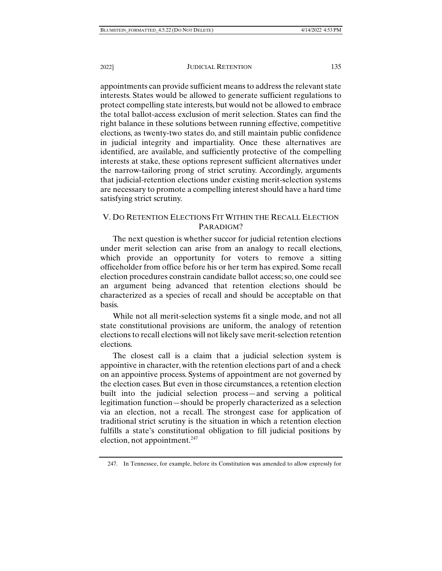appointments can provide sufficient means to address the relevant state interests. States would be allowed to generate sufficient regulations to protect compelling state interests, but would not be allowed to embrace the total ballot-access exclusion of merit selection. States can find the right balance in these solutions between running effective, competitive elections, as twenty-two states do, and still maintain public confidence in judicial integrity and impartiality. Once these alternatives are identified, are available, and sufficiently protective of the compelling interests at stake, these options represent sufficient alternatives under the narrow-tailoring prong of strict scrutiny. Accordingly, arguments that judicial-retention elections under existing merit-selection systems are necessary to promote a compelling interest should have a hard time satisfying strict scrutiny.

# V. DO RETENTION ELECTIONS FIT WITHIN THE RECALL ELECTION PARADIGM?

The next question is whether succor for judicial retention elections under merit selection can arise from an analogy to recall elections, which provide an opportunity for voters to remove a sitting officeholder from office before his or her term has expired. Some recall election procedures constrain candidate ballot access; so, one could see an argument being advanced that retention elections should be characterized as a species of recall and should be acceptable on that basis.

While not all merit-selection systems fit a single mode, and not all state constitutional provisions are uniform, the analogy of retention elections to recall elections will not likely save merit-selection retention elections.

The closest call is a claim that a judicial selection system is appointive in character, with the retention elections part of and a check on an appointive process. Systems of appointment are not governed by the election cases. But even in those circumstances, a retention election built into the judicial selection process—and serving a political legitimation function—should be properly characterized as a selection via an election, not a recall. The strongest case for application of traditional strict scrutiny is the situation in which a retention election fulfills a state's constitutional obligation to fill judicial positions by election, not appointment. $247$ 

 <sup>247.</sup> In Tennessee, for example, before its Constitution was amended to allow expressly for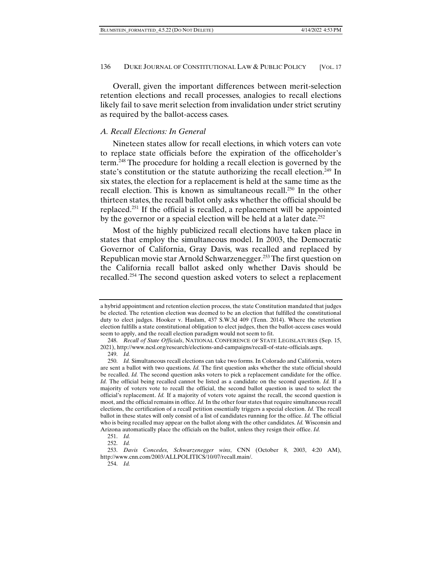Overall, given the important differences between merit-selection retention elections and recall processes, analogies to recall elections likely fail to save merit selection from invalidation under strict scrutiny as required by the ballot-access cases.

### *A. Recall Elections: In General*

Nineteen states allow for recall elections, in which voters can vote to replace state officials before the expiration of the officeholder's term.248 The procedure for holding a recall election is governed by the state's constitution or the statute authorizing the recall election.<sup>249</sup> In six states, the election for a replacement is held at the same time as the recall election. This is known as simultaneous recall.<sup>250</sup> In the other thirteen states, the recall ballot only asks whether the official should be replaced.251 If the official is recalled, a replacement will be appointed by the governor or a special election will be held at a later date.<sup>252</sup>

Most of the highly publicized recall elections have taken place in states that employ the simultaneous model. In 2003, the Democratic Governor of California, Gray Davis, was recalled and replaced by Republican movie star Arnold Schwarzenegger.253 The first question on the California recall ballot asked only whether Davis should be recalled.254 The second question asked voters to select a replacement

a hybrid appointment and retention election process, the state Constitution mandated that judges be elected. The retention election was deemed to be an election that fulfilled the constitutional duty to elect judges. Hooker v. Haslam, 437 S.W.3d 409 (Tenn. 2014). Where the retention election fulfills a state constitutional obligation to elect judges, then the ballot-access cases would seem to apply, and the recall election paradigm would not seem to fit.

 <sup>248.</sup> *Recall of State Officials*, NATIONAL CONFERENCE OF STATE LEGISLATURES (Sep. 15, 2021), http://www.ncsl.org/research/elections-and-campaigns/recall-of-state-officials.aspx.

 <sup>249.</sup> *Id.* 

 <sup>250.</sup> *Id.* Simultaneous recall elections can take two forms. In Colorado and California, voters are sent a ballot with two questions. *Id.* The first question asks whether the state official should be recalled. *Id.* The second question asks voters to pick a replacement candidate for the office. *Id.* The official being recalled cannot be listed as a candidate on the second question. *Id.* If a majority of voters vote to recall the official, the second ballot question is used to select the official's replacement. *Id.* If a majority of voters vote against the recall, the second question is moot, and the official remains in office. *Id.* In the other four states that require simultaneous recall elections, the certification of a recall petition essentially triggers a special election. *Id.* The recall ballot in these states will only consist of a list of candidates running for the office. *Id.* The official who is being recalled may appear on the ballot along with the other candidates. *Id.* Wisconsin and Arizona automatically place the officials on the ballot, unless they resign their office. *Id.* 

 <sup>251.</sup> *Id.* 

 <sup>252.</sup> *Id.* 

 <sup>253.</sup> *Davis Concedes, Schwarzenegger wins*, CNN (October 8, 2003, 4:20 AM), http://www.cnn.com/2003/ALLPOLITICS/10/07/recall.main/.

 <sup>254.</sup> *Id.*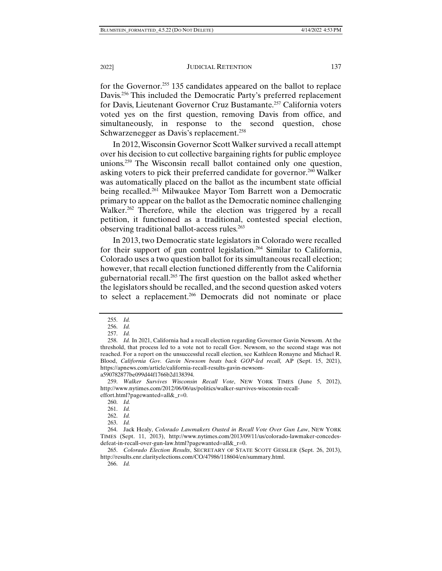for the Governor.<sup>255</sup> 135 candidates appeared on the ballot to replace Davis.<sup>256</sup> This included the Democratic Party's preferred replacement for Davis, Lieutenant Governor Cruz Bustamante.257 California voters voted yes on the first question, removing Davis from office, and simultaneously, in response to the second question, chose Schwarzenegger as Davis's replacement.<sup>258</sup>

In 2012, Wisconsin Governor Scott Walker survived a recall attempt over his decision to cut collective bargaining rights for public employee unions.259 The Wisconsin recall ballot contained only one question, asking voters to pick their preferred candidate for governor.260 Walker was automatically placed on the ballot as the incumbent state official being recalled.<sup>261</sup> Milwaukee Mayor Tom Barrett won a Democratic primary to appear on the ballot as the Democratic nominee challenging Walker.<sup>262</sup> Therefore, while the election was triggered by a recall petition, it functioned as a traditional, contested special election, observing traditional ballot-access rules.263

In 2013, two Democratic state legislators in Colorado were recalled for their support of gun control legislation.<sup>264</sup> Similar to California, Colorado uses a two question ballot for its simultaneous recall election; however, that recall election functioned differently from the California gubernatorial recall.265 The first question on the ballot asked whether the legislators should be recalled, and the second question asked voters to select a replacement.<sup>266</sup> Democrats did not nominate or place

 <sup>255.</sup> *Id.* 

 <sup>256.</sup> *Id.* 

 <sup>257.</sup> *Id.* 

 <sup>258.</sup> *Id.* In 2021, California had a recall election regarding Governor Gavin Newsom. At the threshold, that process led to a vote not to recall Gov. Newsom, so the second stage was not reached. For a report on the unsuccessful recall election, see Kathleen Ronayne and Michael R. Blood, *California Gov. Gavin Newsom beats back GOP-led recall,* AP (Sept. 15, 2021), https://apnews.com/article/california-recall-results-gavin-newsoma590782877be099d44f1766b2d138394.

 <sup>259.</sup> *Walker Survives Wisconsin Recall Vote*, NEW YORK TIMES (June 5, 2012), http://www.nytimes.com/2012/06/06/us/politics/walker-survives-wisconsin-recall-

effort.html?pagewanted=all&\_r=0.

 <sup>260.</sup> *Id.*  261. *Id.* 

 <sup>262.</sup> *Id.* 

 <sup>263.</sup> *Id.* 

 <sup>264.</sup> Jack Healy, *Colorado Lawmakers Ousted in Recall Vote Over Gun Law*, NEW YORK TIMES (Sept. 11, 2013), http://www.nytimes.com/2013/09/11/us/colorado-lawmaker-concedesdefeat-in-recall-over-gun-law.html?pagewanted=all&\_r=0.

 <sup>265.</sup> *Colorado Election Results*, SECRETARY OF STATE SCOTT GESSLER (Sept. 26, 2013), http://results.enr.clarityelections.com/CO/47986/118604/en/summary.html.

 <sup>266.</sup> *Id.*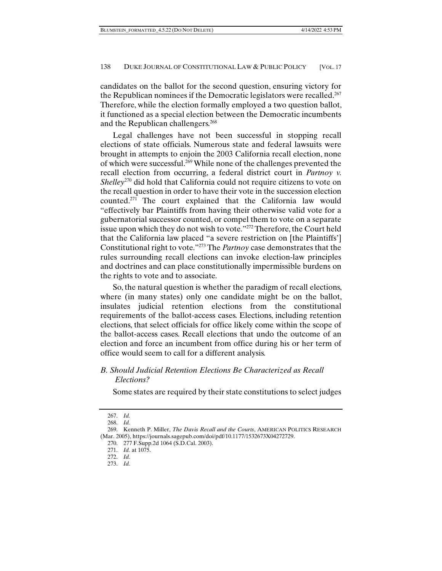candidates on the ballot for the second question, ensuring victory for the Republican nominees if the Democratic legislators were recalled.<sup>267</sup> Therefore, while the election formally employed a two question ballot, it functioned as a special election between the Democratic incumbents and the Republican challengers.<sup>268</sup>

Legal challenges have not been successful in stopping recall elections of state officials. Numerous state and federal lawsuits were brought in attempts to enjoin the 2003 California recall election, none of which were successful.269 While none of the challenges prevented the recall election from occurring, a federal district court in *Partnoy v. Shelley*<sup>270</sup> did hold that California could not require citizens to vote on the recall question in order to have their vote in the succession election counted.271 The court explained that the California law would "effectively bar Plaintiffs from having their otherwise valid vote for a gubernatorial successor counted, or compel them to vote on a separate issue upon which they do not wish to vote."272 Therefore, the Court held that the California law placed "a severe restriction on [the Plaintiffs'] Constitutional right to vote."273 The *Partnoy* case demonstrates that the rules surrounding recall elections can invoke election-law principles and doctrines and can place constitutionally impermissible burdens on the rights to vote and to associate.

So, the natural question is whether the paradigm of recall elections, where (in many states) only one candidate might be on the ballot, insulates judicial retention elections from the constitutional requirements of the ballot-access cases. Elections, including retention elections, that select officials for office likely come within the scope of the ballot-access cases. Recall elections that undo the outcome of an election and force an incumbent from office during his or her term of office would seem to call for a different analysis.

# *B. Should Judicial Retention Elections Be Characterized as Recall Elections?*

Some states are required by their state constitutions to select judges

 <sup>267.</sup> *Id.* 

 <sup>268.</sup> *Id.* 

 <sup>269.</sup> Kenneth P. Miller, *The Davis Recall and the Courts*, AMERICAN POLITICS RESEARCH (Mar. 2005), https://journals.sagepub.com/doi/pdf/10.1177/1532673X04272729.

 <sup>270. 277</sup> F.Supp.2d 1064 (S.D.Cal. 2003).

 <sup>271.</sup> *Id.* at 1075.

 <sup>272.</sup> *Id.* 

 <sup>273.</sup> *Id.*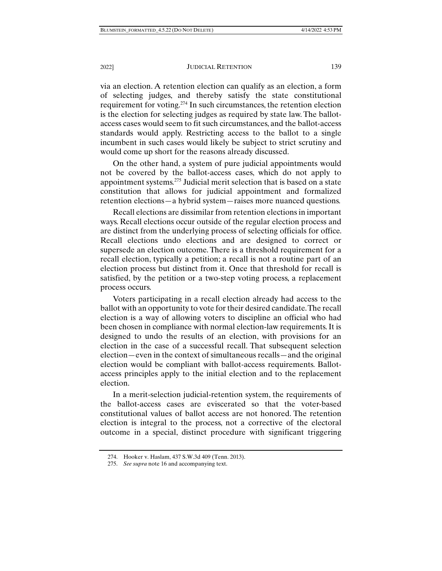2022] JUDICIAL RETENTION 139

via an election. A retention election can qualify as an election, a form of selecting judges, and thereby satisfy the state constitutional requirement for voting.274 In such circumstances, the retention election is the election for selecting judges as required by state law. The ballotaccess cases would seem to fit such circumstances, and the ballot-access standards would apply. Restricting access to the ballot to a single incumbent in such cases would likely be subject to strict scrutiny and would come up short for the reasons already discussed.

On the other hand, a system of pure judicial appointments would not be covered by the ballot-access cases, which do not apply to appointment systems.275 Judicial merit selection that is based on a state constitution that allows for judicial appointment and formalized retention elections—a hybrid system—raises more nuanced questions.

Recall elections are dissimilar from retention elections in important ways. Recall elections occur outside of the regular election process and are distinct from the underlying process of selecting officials for office. Recall elections undo elections and are designed to correct or supersede an election outcome. There is a threshold requirement for a recall election, typically a petition; a recall is not a routine part of an election process but distinct from it. Once that threshold for recall is satisfied, by the petition or a two-step voting process, a replacement process occurs.

Voters participating in a recall election already had access to the ballot with an opportunity to vote for their desired candidate. The recall election is a way of allowing voters to discipline an official who had been chosen in compliance with normal election-law requirements. It is designed to undo the results of an election, with provisions for an election in the case of a successful recall. That subsequent selection election—even in the context of simultaneous recalls—and the original election would be compliant with ballot-access requirements. Ballotaccess principles apply to the initial election and to the replacement election.

In a merit-selection judicial-retention system, the requirements of the ballot-access cases are eviscerated so that the voter-based constitutional values of ballot access are not honored. The retention election is integral to the process, not a corrective of the electoral outcome in a special, distinct procedure with significant triggering

 <sup>274.</sup> Hooker v. Haslam, 437 S.W.3d 409 (Tenn. 2013).

 <sup>275.</sup> *See supra* note 16 and accompanying text.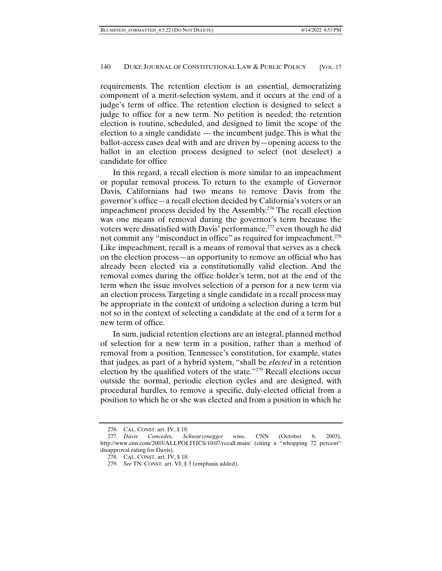requirements. The retention election is an essential, democratizing component of a merit-selection system, and it occurs at the end of a judge's term of office. The retention election is designed to select a judge to office for a new term. No petition is needed; the retention election is routine, scheduled, and designed to limit the scope of the election to a single candidate --- the incumbent judge. This is what the ballot-access cases deal with and are driven by—opening access to the ballot in an election process designed to select (not deselect) a candidate for office

In this regard, a recall election is more similar to an impeachment or popular removal process. To return to the example of Governor Davis, Californians had two means to remove Davis from the governor's office—a recall election decided by California's voters or an impeachment process decided by the Assembly.276 The recall election was one means of removal during the governor's term because the voters were dissatisfied with Davis' performance, $277$  even though he did not commit any "misconduct in office" as required for impeachment.<sup>278</sup> Like impeachment, recall is a means of removal that serves as a check on the election process—an opportunity to remove an official who has already been elected via a constitutionally valid election. And the removal comes during the office holder's term, not at the end of the term when the issue involves selection of a person for a new term via an election process. Targeting a single candidate in a recall process may be appropriate in the context of undoing a selection during a term but not so in the context of selecting a candidate at the end of a term for a new term of office.

In sum, judicial retention elections are an integral, planned method of selection for a new term in a position, rather than a method of removal from a position. Tennessee's constitution, for example, states that judges, as part of a hybrid system, "shall be *elected* in a retention election by the qualified voters of the state."279 Recall elections occur outside the normal, periodic election cycles and are designed, with procedural hurdles, to remove a specific, duly-elected official from a position to which he or she was elected and from a position in which he

 <sup>276.</sup> CAL. CONST. art. IV, § 18.

 <sup>277.</sup> *Davis Concedes, Schwarzenegger wins*, CNN (October 8, 2003), http://www.cnn.com/2003/ALLPOLITICS/10/07/recall.main/ (citing a "whopping 72 percent" disapproval rating for Davis).

 <sup>278.</sup> CAL. CONST. art. IV, § 18.

 <sup>279.</sup> *See* TN. CONST. art. VI, § 3 (emphasis added).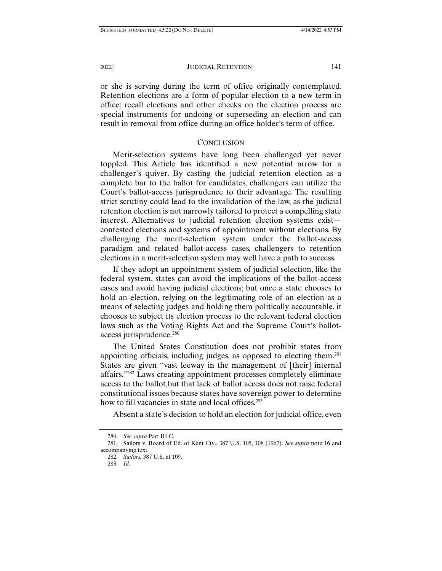or she is serving during the term of office originally contemplated. Retention elections are a form of popular election to a new term in office; recall elections and other checks on the election process are special instruments for undoing or superseding an election and can result in removal from office during an office holder's term of office.

#### **CONCLUSION**

Merit-selection systems have long been challenged yet never toppled. This Article has identified a new potential arrow for a challenger's quiver. By casting the judicial retention election as a complete bar to the ballot for candidates, challengers can utilize the Court's ballot-access jurisprudence to their advantage. The resulting strict scrutiny could lead to the invalidation of the law, as the judicial retention election is not narrowly tailored to protect a compelling state interest. Alternatives to judicial retention election systems exist contested elections and systems of appointment without elections. By challenging the merit-selection system under the ballot-access paradigm and related ballot-access cases, challengers to retention elections in a merit-selection system may well have a path to success.

If they adopt an appointment system of judicial selection, like the federal system, states can avoid the implications of the ballot-access cases and avoid having judicial elections; but once a state chooses to hold an election, relying on the legitimating role of an election as a means of selecting judges and holding them politically accountable, it chooses to subject its election process to the relevant federal election laws such as the Voting Rights Act and the Supreme Court's ballotaccess jurisprudence.<sup>280</sup>

The United States Constitution does not prohibit states from appointing officials, including judges, as opposed to electing them.281 States are given "vast leeway in the management of [their] internal affairs."282 Laws creating appointment processes completely eliminate access to the ballot,but that lack of ballot access does not raise federal constitutional issues because states have sovereign power to determine how to fill vacancies in state and local offices.<sup>283</sup>

Absent a state's decision to hold an election for judicial office, even

 <sup>280.</sup> *See supra* Part III.C.

 <sup>281.</sup> Sailors v. Board of Ed. of Kent Cty., 387 U.S. 105, 108 (1967). *See supra* note 16 and accompanying text.

 <sup>282.</sup> *Sailors,* 387 U.S. at 109.

 <sup>283.</sup> *Id.*